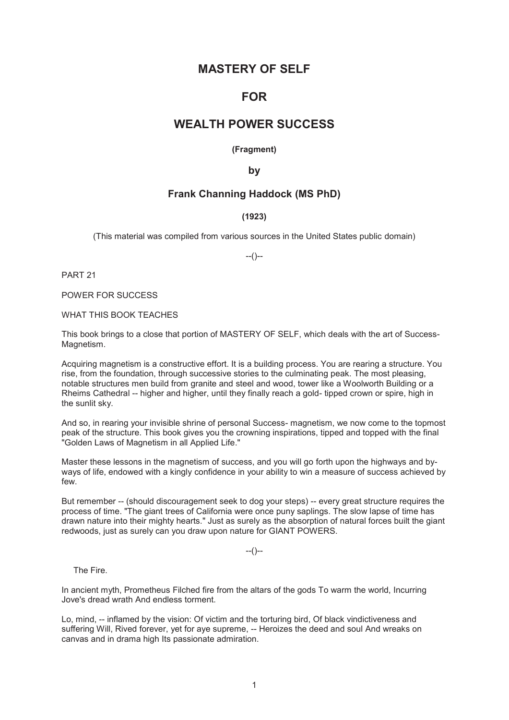# **MASTERY OF SELF**

# **FOR**

# **WEALTH POWER SUCCESS**

**(Fragment)** 

**by** 

# **Frank Channing Haddock (MS PhD)**

# **(1923)**

(This material was compiled from various sources in the United States public domain)

--()--

PART 21

POWER FOR SUCCESS

WHAT THIS BOOK TEACHES

This book brings to a close that portion of MASTERY OF SELF, which deals with the art of Success-Magnetism.

Acquiring magnetism is a constructive effort. It is a building process. You are rearing a structure. You rise, from the foundation, through successive stories to the culminating peak. The most pleasing, notable structures men build from granite and steel and wood, tower like a Woolworth Building or a Rheims Cathedral -- higher and higher, until they finally reach a gold- tipped crown or spire, high in the sunlit sky.

And so, in rearing your invisible shrine of personal Success- magnetism, we now come to the topmost peak of the structure. This book gives you the crowning inspirations, tipped and topped with the final "Golden Laws of Magnetism in all Applied Life."

Master these lessons in the magnetism of success, and you will go forth upon the highways and byways of life, endowed with a kingly confidence in your ability to win a measure of success achieved by few.

But remember -- (should discouragement seek to dog your steps) -- every great structure requires the process of time. "The giant trees of California were once puny saplings. The slow lapse of time has drawn nature into their mighty hearts." Just as surely as the absorption of natural forces built the giant redwoods, just as surely can you draw upon nature for GIANT POWERS.

 $-(-)$ 

The Fire.

In ancient myth, Prometheus Filched fire from the altars of the gods To warm the world, Incurring Jove's dread wrath And endless torment.

Lo, mind, -- inflamed by the vision: Of victim and the torturing bird, Of black vindictiveness and suffering Will, Rived forever, yet for aye supreme, -- Heroizes the deed and soul And wreaks on canvas and in drama high Its passionate admiration.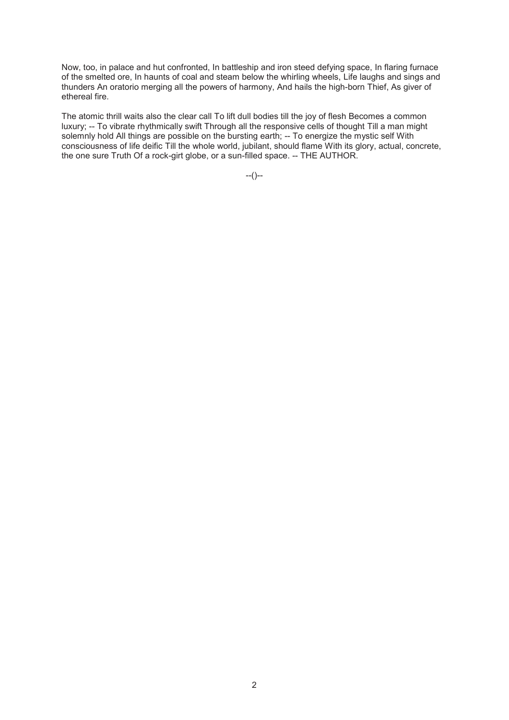Now, too, in palace and hut confronted, In battleship and iron steed defying space, In flaring furnace of the smelted ore, In haunts of coal and steam below the whirling wheels, Life laughs and sings and thunders An oratorio merging all the powers of harmony, And hails the high-born Thief, As giver of ethereal fire.

The atomic thrill waits also the clear call To lift dull bodies till the joy of flesh Becomes a common luxury; -- To vibrate rhythmically swift Through all the responsive cells of thought Till a man might solemnly hold All things are possible on the bursting earth; -- To energize the mystic self With consciousness of life deific Till the whole world, jubilant, should flame With its glory, actual, concrete, the one sure Truth Of a rock-girt globe, or a sun-filled space. -- THE AUTHOR.

 $-(-)$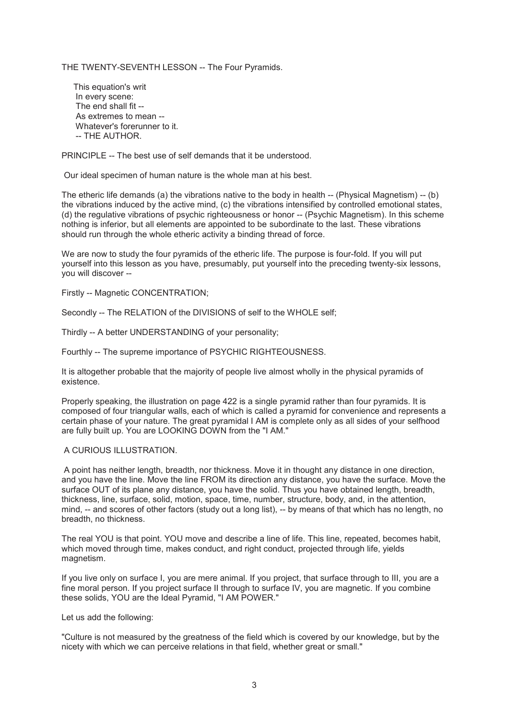THE TWENTY-SEVENTH LESSON -- The Four Pyramids.

 This equation's writ In every scene: The end shall fit -- As extremes to mean -- Whatever's forerunner to it. -- THE AUTHOR.

PRINCIPLE -- The best use of self demands that it be understood.

Our ideal specimen of human nature is the whole man at his best.

The etheric life demands (a) the vibrations native to the body in health -- (Physical Magnetism) -- (b) the vibrations induced by the active mind, (c) the vibrations intensified by controlled emotional states, (d) the regulative vibrations of psychic righteousness or honor -- (Psychic Magnetism). In this scheme nothing is inferior, but all elements are appointed to be subordinate to the last. These vibrations should run through the whole etheric activity a binding thread of force.

We are now to study the four pyramids of the etheric life. The purpose is four-fold. If you will put yourself into this lesson as you have, presumably, put yourself into the preceding twenty-six lessons, you will discover --

Firstly -- Magnetic CONCENTRATION;

Secondly -- The RELATION of the DIVISIONS of self to the WHOLE self;

Thirdly -- A better UNDERSTANDING of your personality;

Fourthly -- The supreme importance of PSYCHIC RIGHTEOUSNESS.

It is altogether probable that the majority of people live almost wholly in the physical pyramids of existence.

Properly speaking, the illustration on page 422 is a single pyramid rather than four pyramids. It is composed of four triangular walls, each of which is called a pyramid for convenience and represents a certain phase of your nature. The great pyramidal I AM is complete only as all sides of your selfhood are fully built up. You are LOOKING DOWN from the "I AM."

# A CURIOUS ILLUSTRATION.

 A point has neither length, breadth, nor thickness. Move it in thought any distance in one direction, and you have the line. Move the line FROM its direction any distance, you have the surface. Move the surface OUT of its plane any distance, you have the solid. Thus you have obtained length, breadth, thickness, line, surface, solid, motion, space, time, number, structure, body, and, in the attention, mind, -- and scores of other factors (study out a long list), -- by means of that which has no length, no breadth, no thickness.

The real YOU is that point. YOU move and describe a line of life. This line, repeated, becomes habit, which moved through time, makes conduct, and right conduct, projected through life, yields magnetism.

If you live only on surface I, you are mere animal. If you project, that surface through to III, you are a fine moral person. If you project surface II through to surface IV, you are magnetic. If you combine these solids, YOU are the Ideal Pyramid, "I AM POWER."

Let us add the following:

"Culture is not measured by the greatness of the field which is covered by our knowledge, but by the nicety with which we can perceive relations in that field, whether great or small."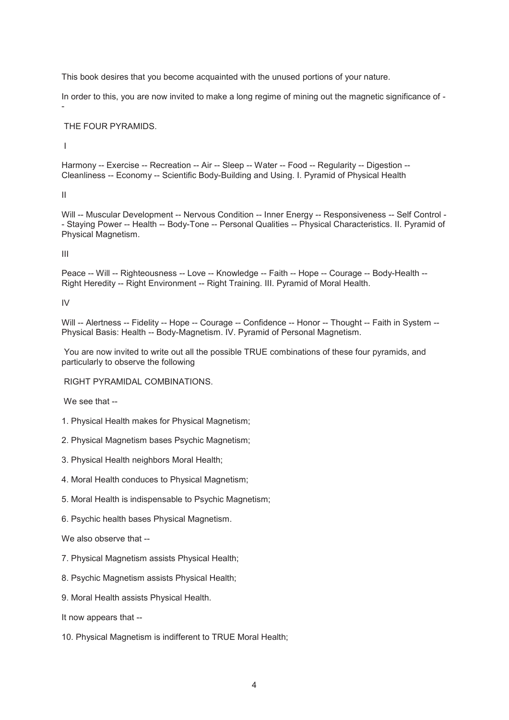This book desires that you become acquainted with the unused portions of your nature.

In order to this, you are now invited to make a long regime of mining out the magnetic significance of -

# THE FOUR PYRAMIDS.

I

-

Harmony -- Exercise -- Recreation -- Air -- Sleep -- Water -- Food -- Regularity -- Digestion --Cleanliness -- Economy -- Scientific Body-Building and Using. I. Pyramid of Physical Health

II

Will -- Muscular Development -- Nervous Condition -- Inner Energy -- Responsiveness -- Self Control - - Staying Power -- Health -- Body-Tone -- Personal Qualities -- Physical Characteristics. II. Pyramid of Physical Magnetism.

III

Peace -- Will -- Righteousness -- Love -- Knowledge -- Faith -- Hope -- Courage -- Body-Health -- Right Heredity -- Right Environment -- Right Training. III. Pyramid of Moral Health.

IV

Will -- Alertness -- Fidelity -- Hope -- Courage -- Confidence -- Honor -- Thought -- Faith in System --Physical Basis: Health -- Body-Magnetism. IV. Pyramid of Personal Magnetism.

 You are now invited to write out all the possible TRUE combinations of these four pyramids, and particularly to observe the following

RIGHT PYRAMIDAL COMBINATIONS.

We see that --

1. Physical Health makes for Physical Magnetism;

2. Physical Magnetism bases Psychic Magnetism;

3. Physical Health neighbors Moral Health;

4. Moral Health conduces to Physical Magnetism;

5. Moral Health is indispensable to Psychic Magnetism;

6. Psychic health bases Physical Magnetism.

We also observe that --

7. Physical Magnetism assists Physical Health;

8. Psychic Magnetism assists Physical Health;

9. Moral Health assists Physical Health.

It now appears that --

10. Physical Magnetism is indifferent to TRUE Moral Health;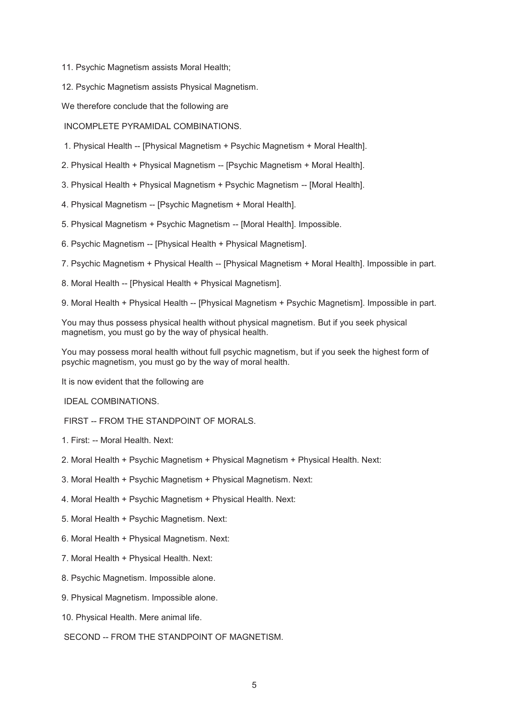11. Psychic Magnetism assists Moral Health;

12. Psychic Magnetism assists Physical Magnetism.

We therefore conclude that the following are

INCOMPLETE PYRAMIDAL COMBINATIONS.

- 1. Physical Health -- [Physical Magnetism + Psychic Magnetism + Moral Health].
- 2. Physical Health + Physical Magnetism -- [Psychic Magnetism + Moral Health].
- 3. Physical Health + Physical Magnetism + Psychic Magnetism -- [Moral Health].
- 4. Physical Magnetism -- [Psychic Magnetism + Moral Health].
- 5. Physical Magnetism + Psychic Magnetism -- [Moral Health]. Impossible.
- 6. Psychic Magnetism -- [Physical Health + Physical Magnetism].
- 7. Psychic Magnetism + Physical Health -- [Physical Magnetism + Moral Health]. Impossible in part.
- 8. Moral Health -- [Physical Health + Physical Magnetism].

9. Moral Health + Physical Health -- [Physical Magnetism + Psychic Magnetism]. Impossible in part.

You may thus possess physical health without physical magnetism. But if you seek physical magnetism, you must go by the way of physical health.

You may possess moral health without full psychic magnetism, but if you seek the highest form of psychic magnetism, you must go by the way of moral health.

It is now evident that the following are

IDEAL COMBINATIONS.

- FIRST -- FROM THE STANDPOINT OF MORALS.
- 1. First: -- Moral Health. Next:
- 2. Moral Health + Psychic Magnetism + Physical Magnetism + Physical Health. Next:
- 3. Moral Health + Psychic Magnetism + Physical Magnetism. Next:
- 4. Moral Health + Psychic Magnetism + Physical Health. Next:
- 5. Moral Health + Psychic Magnetism. Next:
- 6. Moral Health + Physical Magnetism. Next:
- 7. Moral Health + Physical Health. Next:
- 8. Psychic Magnetism. Impossible alone.
- 9. Physical Magnetism. Impossible alone.
- 10. Physical Health. Mere animal life.
- SECOND -- FROM THE STANDPOINT OF MAGNETISM.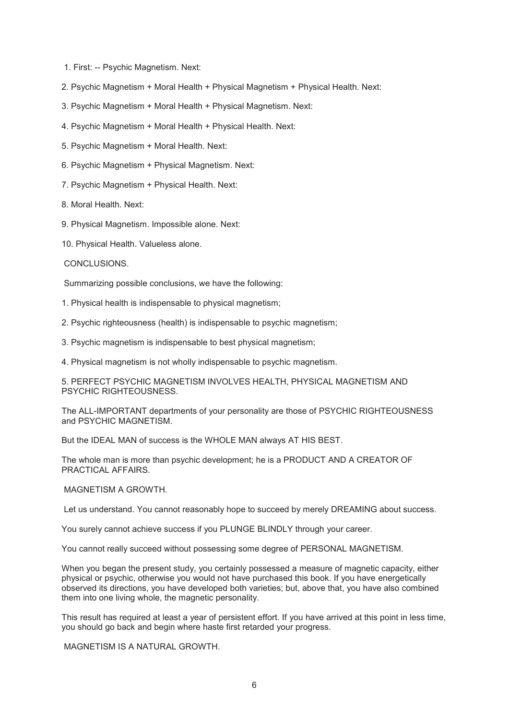- 1. First: -- Psychic Magnetism. Next:
- 2. Psychic Magnetism + Moral Health + Physical Magnetism + Physical Health. Next:
- 3. Psychic Magnetism + Moral Health + Physical Magnetism. Next:
- 4. Psychic Magnetism + Moral Health + Physical Health. Next:
- 5. Psychic Magnetism + Moral Health. Next:
- 6. Psychic Magnetism + Physical Magnetism. Next:
- 7. Psychic Magnetism + Physical Health. Next:
- 8. Moral Health. Next:
- 9. Physical Magnetism. Impossible alone. Next:
- 10. Physical Health. Valueless alone.

# CONCLUSIONS.

Summarizing possible conclusions, we have the following:

- 1. Physical health is indispensable to physical magnetism;
- 2. Psychic righteousness (health) is indispensable to psychic magnetism;
- 3. Psychic magnetism is indispensable to best physical magnetism;
- 4. Physical magnetism is not wholly indispensable to psychic magnetism.

5. PERFECT PSYCHIC MAGNETISM INVOLVES HEALTH, PHYSICAL MAGNETISM AND PSYCHIC RIGHTEOUSNESS.

The ALL-IMPORTANT departments of your personality are those of PSYCHIC RIGHTEOUSNESS and PSYCHIC MAGNETISM.

But the IDEAL MAN of success is the WHOLE MAN always AT HIS BEST.

The whole man is more than psychic development; he is a PRODUCT AND A CREATOR OF PRACTICAL AFFAIRS.

## MAGNETISM A GROWTH.

Let us understand. You cannot reasonably hope to succeed by merely DREAMING about success.

You surely cannot achieve success if you PLUNGE BLINDLY through your career.

You cannot really succeed without possessing some degree of PERSONAL MAGNETISM.

When you began the present study, you certainly possessed a measure of magnetic capacity, either physical or psychic, otherwise you would not have purchased this book. If you have energetically observed its directions, you have developed both varieties; but, above that, you have also combined them into one living whole, the magnetic personality.

This result has required at least a year of persistent effort. If you have arrived at this point in less time, you should go back and begin where haste first retarded your progress.

MAGNETISM IS A NATURAL GROWTH.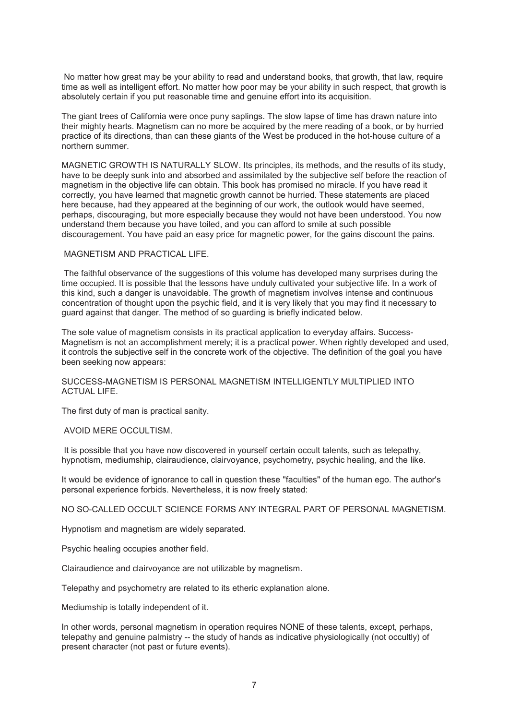No matter how great may be your ability to read and understand books, that growth, that law, require time as well as intelligent effort. No matter how poor may be your ability in such respect, that growth is absolutely certain if you put reasonable time and genuine effort into its acquisition.

The giant trees of California were once puny saplings. The slow lapse of time has drawn nature into their mighty hearts. Magnetism can no more be acquired by the mere reading of a book, or by hurried practice of its directions, than can these giants of the West be produced in the hot-house culture of a northern summer.

MAGNETIC GROWTH IS NATURALLY SLOW. Its principles, its methods, and the results of its study, have to be deeply sunk into and absorbed and assimilated by the subjective self before the reaction of magnetism in the objective life can obtain. This book has promised no miracle. If you have read it correctly, you have learned that magnetic growth cannot be hurried. These statements are placed here because, had they appeared at the beginning of our work, the outlook would have seemed, perhaps, discouraging, but more especially because they would not have been understood. You now understand them because you have toiled, and you can afford to smile at such possible discouragement. You have paid an easy price for magnetic power, for the gains discount the pains.

#### MAGNETISM AND PRACTICAL LIFE.

 The faithful observance of the suggestions of this volume has developed many surprises during the time occupied. It is possible that the lessons have unduly cultivated your subjective life. In a work of this kind, such a danger is unavoidable. The growth of magnetism involves intense and continuous concentration of thought upon the psychic field, and it is very likely that you may find it necessary to guard against that danger. The method of so guarding is briefly indicated below.

The sole value of magnetism consists in its practical application to everyday affairs. Success-Magnetism is not an accomplishment merely; it is a practical power. When rightly developed and used, it controls the subjective self in the concrete work of the objective. The definition of the goal you have been seeking now appears:

## SUCCESS-MAGNETISM IS PERSONAL MAGNETISM INTELLIGENTLY MULTIPLIED INTO ACTUAL LIFE.

The first duty of man is practical sanity.

#### AVOID MERE OCCULTISM.

 It is possible that you have now discovered in yourself certain occult talents, such as telepathy, hypnotism, mediumship, clairaudience, clairvoyance, psychometry, psychic healing, and the like.

It would be evidence of ignorance to call in question these "faculties" of the human ego. The author's personal experience forbids. Nevertheless, it is now freely stated:

NO SO-CALLED OCCULT SCIENCE FORMS ANY INTEGRAL PART OF PERSONAL MAGNETISM.

Hypnotism and magnetism are widely separated.

Psychic healing occupies another field.

Clairaudience and clairvoyance are not utilizable by magnetism.

Telepathy and psychometry are related to its etheric explanation alone.

Mediumship is totally independent of it.

In other words, personal magnetism in operation requires NONE of these talents, except, perhaps, telepathy and genuine palmistry -- the study of hands as indicative physiologically (not occultly) of present character (not past or future events).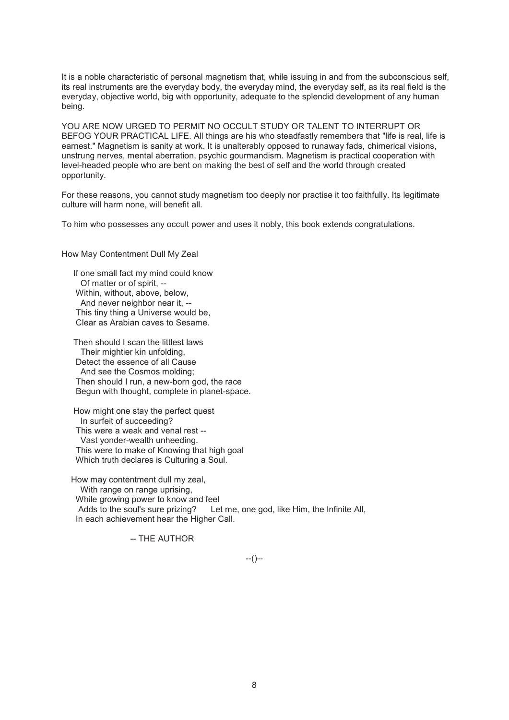It is a noble characteristic of personal magnetism that, while issuing in and from the subconscious self, its real instruments are the everyday body, the everyday mind, the everyday self, as its real field is the everyday, objective world, big with opportunity, adequate to the splendid development of any human being.

YOU ARE NOW URGED TO PERMIT NO OCCULT STUDY OR TALENT TO INTERRUPT OR BEFOG YOUR PRACTICAL LIFE. All things are his who steadfastly remembers that "life is real, life is earnest." Magnetism is sanity at work. It is unalterably opposed to runaway fads, chimerical visions, unstrung nerves, mental aberration, psychic gourmandism. Magnetism is practical cooperation with level-headed people who are bent on making the best of self and the world through created opportunity.

For these reasons, you cannot study magnetism too deeply nor practise it too faithfully. Its legitimate culture will harm none, will benefit all.

To him who possesses any occult power and uses it nobly, this book extends congratulations.

How May Contentment Dull My Zeal

 If one small fact my mind could know Of matter or of spirit, -- Within, without, above, below, And never neighbor near it, -- This tiny thing a Universe would be, Clear as Arabian caves to Sesame.

 Then should I scan the littlest laws Their mightier kin unfolding, Detect the essence of all Cause And see the Cosmos molding; Then should I run, a new-born god, the race Begun with thought, complete in planet-space.

 How might one stay the perfect quest In surfeit of succeeding? This were a weak and venal rest -- Vast yonder-wealth unheeding. This were to make of Knowing that high goal Which truth declares is Culturing a Soul.

 How may contentment dull my zeal, With range on range uprising. While growing power to know and feel<br>Adds to the soul's sure prizing? Let Let me, one god, like Him, the Infinite All, In each achievement hear the Higher Call.

-- THE AUTHOR

 $-(-)$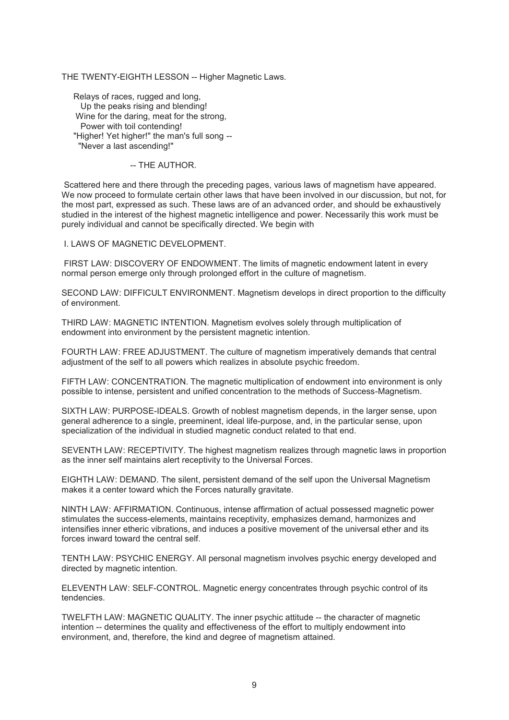## THE TWENTY-EIGHTH LESSON -- Higher Magnetic Laws.

 Relays of races, rugged and long, Up the peaks rising and blending! Wine for the daring, meat for the strong, Power with toil contending! "Higher! Yet higher!" the man's full song --"Never a last ascending!"

#### -- THE AUTHOR.

 Scattered here and there through the preceding pages, various laws of magnetism have appeared. We now proceed to formulate certain other laws that have been involved in our discussion, but not, for the most part, expressed as such. These laws are of an advanced order, and should be exhaustively studied in the interest of the highest magnetic intelligence and power. Necessarily this work must be purely individual and cannot be specifically directed. We begin with

I. LAWS OF MAGNETIC DEVELOPMENT.

 FIRST LAW: DISCOVERY OF ENDOWMENT. The limits of magnetic endowment latent in every normal person emerge only through prolonged effort in the culture of magnetism.

SECOND LAW: DIFFICULT ENVIRONMENT. Magnetism develops in direct proportion to the difficulty of environment.

THIRD LAW: MAGNETIC INTENTION. Magnetism evolves solely through multiplication of endowment into environment by the persistent magnetic intention.

FOURTH LAW: FREE ADJUSTMENT. The culture of magnetism imperatively demands that central adjustment of the self to all powers which realizes in absolute psychic freedom.

FIFTH LAW: CONCENTRATION. The magnetic multiplication of endowment into environment is only possible to intense, persistent and unified concentration to the methods of Success-Magnetism.

SIXTH LAW: PURPOSE-IDEALS. Growth of noblest magnetism depends, in the larger sense, upon general adherence to a single, preeminent, ideal life-purpose, and, in the particular sense, upon specialization of the individual in studied magnetic conduct related to that end.

SEVENTH LAW: RECEPTIVITY. The highest magnetism realizes through magnetic laws in proportion as the inner self maintains alert receptivity to the Universal Forces.

EIGHTH LAW: DEMAND. The silent, persistent demand of the self upon the Universal Magnetism makes it a center toward which the Forces naturally gravitate.

NINTH LAW: AFFIRMATION. Continuous, intense affirmation of actual possessed magnetic power stimulates the success-elements, maintains receptivity, emphasizes demand, harmonizes and intensifies inner etheric vibrations, and induces a positive movement of the universal ether and its forces inward toward the central self.

TENTH LAW: PSYCHIC ENERGY. All personal magnetism involves psychic energy developed and directed by magnetic intention.

ELEVENTH LAW: SELF-CONTROL. Magnetic energy concentrates through psychic control of its tendencies.

TWELFTH LAW: MAGNETIC QUALITY. The inner psychic attitude -- the character of magnetic intention -- determines the quality and effectiveness of the effort to multiply endowment into environment, and, therefore, the kind and degree of magnetism attained.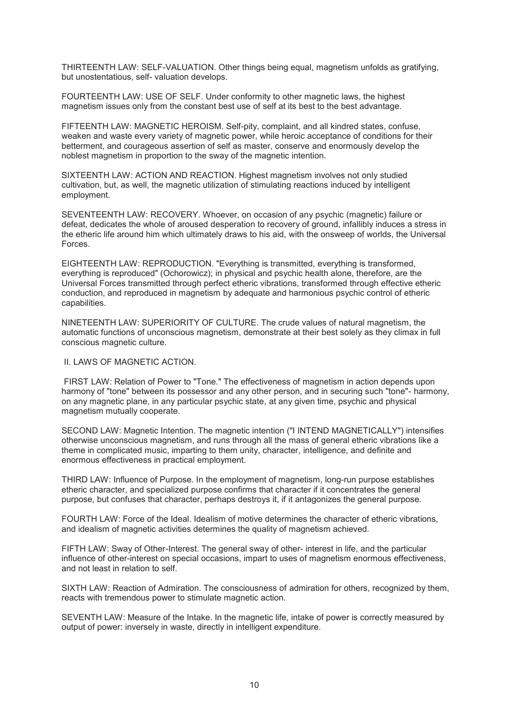THIRTEENTH LAW: SELF-VALUATION. Other things being equal, magnetism unfolds as gratifying, but unostentatious, self- valuation develops.

FOURTEENTH LAW: USE OF SELF. Under conformity to other magnetic laws, the highest magnetism issues only from the constant best use of self at its best to the best advantage.

FIFTEENTH LAW: MAGNETIC HEROISM. Self-pity, complaint, and all kindred states, confuse, weaken and waste every variety of magnetic power, while heroic acceptance of conditions for their betterment, and courageous assertion of self as master, conserve and enormously develop the noblest magnetism in proportion to the sway of the magnetic intention.

SIXTEENTH LAW: ACTION AND REACTION. Highest magnetism involves not only studied cultivation, but, as well, the magnetic utilization of stimulating reactions induced by intelligent employment.

SEVENTEENTH LAW: RECOVERY. Whoever, on occasion of any psychic (magnetic) failure or defeat, dedicates the whole of aroused desperation to recovery of ground, infallibly induces a stress in the etheric life around him which ultimately draws to his aid, with the onsweep of worlds, the Universal Forces.

EIGHTEENTH LAW: REPRODUCTION. "Everything is transmitted, everything is transformed, everything is reproduced" (Ochorowicz); in physical and psychic health alone, therefore, are the Universal Forces transmitted through perfect etheric vibrations, transformed through effective etheric conduction, and reproduced in magnetism by adequate and harmonious psychic control of etheric capabilities.

NINETEENTH LAW: SUPERIORITY OF CULTURE. The crude values of natural magnetism, the automatic functions of unconscious magnetism, demonstrate at their best solely as they climax in full conscious magnetic culture.

II. LAWS OF MAGNETIC ACTION.

 FIRST LAW: Relation of Power to "Tone." The effectiveness of magnetism in action depends upon harmony of "tone" between its possessor and any other person, and in securing such "tone"- harmony, on any magnetic plane, in any particular psychic state, at any given time, psychic and physical magnetism mutually cooperate.

SECOND LAW: Magnetic Intention. The magnetic intention ("I INTEND MAGNETICALLY") intensifies otherwise unconscious magnetism, and runs through all the mass of general etheric vibrations like a theme in complicated music, imparting to them unity, character, intelligence, and definite and enormous effectiveness in practical employment.

THIRD LAW: Influence of Purpose. In the employment of magnetism, long-run purpose establishes etheric character, and specialized purpose confirms that character if it concentrates the general purpose, but confuses that character, perhaps destroys it, if it antagonizes the general purpose.

FOURTH LAW: Force of the Ideal. Idealism of motive determines the character of etheric vibrations, and idealism of magnetic activities determines the quality of magnetism achieved.

FIFTH LAW: Sway of Other-Interest. The general sway of other- interest in life, and the particular influence of other-interest on special occasions, impart to uses of magnetism enormous effectiveness, and not least in relation to self.

SIXTH LAW: Reaction of Admiration. The consciousness of admiration for others, recognized by them, reacts with tremendous power to stimulate magnetic action.

SEVENTH LAW: Measure of the Intake. In the magnetic life, intake of power is correctly measured by output of power: inversely in waste, directly in intelligent expenditure.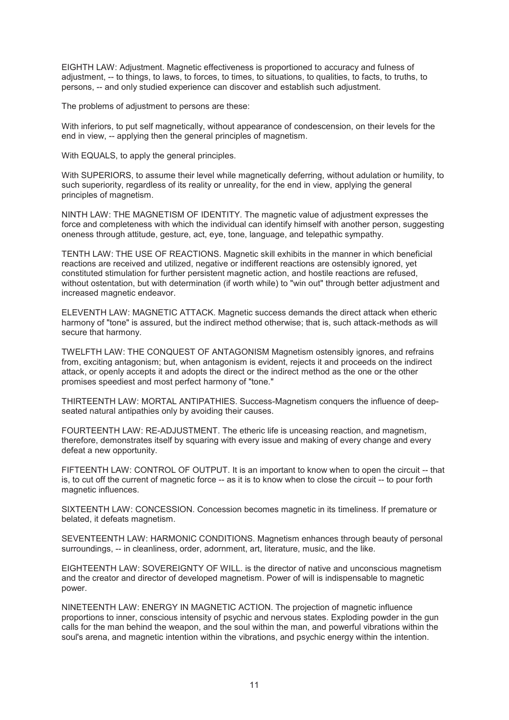EIGHTH LAW: Adjustment. Magnetic effectiveness is proportioned to accuracy and fulness of adjustment, -- to things, to laws, to forces, to times, to situations, to qualities, to facts, to truths, to persons, -- and only studied experience can discover and establish such adjustment.

The problems of adjustment to persons are these:

With inferiors, to put self magnetically, without appearance of condescension, on their levels for the end in view, -- applying then the general principles of magnetism.

With EQUALS, to apply the general principles.

With SUPERIORS, to assume their level while magnetically deferring, without adulation or humility, to such superiority, regardless of its reality or unreality, for the end in view, applying the general principles of magnetism.

NINTH LAW: THE MAGNETISM OF IDENTITY. The magnetic value of adjustment expresses the force and completeness with which the individual can identify himself with another person, suggesting oneness through attitude, gesture, act, eye, tone, language, and telepathic sympathy.

TENTH LAW: THE USE OF REACTIONS. Magnetic skill exhibits in the manner in which beneficial reactions are received and utilized, negative or indifferent reactions are ostensibly ignored, yet constituted stimulation for further persistent magnetic action, and hostile reactions are refused, without ostentation, but with determination (if worth while) to "win out" through better adjustment and increased magnetic endeavor.

ELEVENTH LAW: MAGNETIC ATTACK. Magnetic success demands the direct attack when etheric harmony of "tone" is assured, but the indirect method otherwise; that is, such attack-methods as will secure that harmony.

TWELFTH LAW: THE CONQUEST OF ANTAGONISM Magnetism ostensibly ignores, and refrains from, exciting antagonism; but, when antagonism is evident, rejects it and proceeds on the indirect attack, or openly accepts it and adopts the direct or the indirect method as the one or the other promises speediest and most perfect harmony of "tone."

THIRTEENTH LAW: MORTAL ANTIPATHIES. Success-Magnetism conquers the influence of deepseated natural antipathies only by avoiding their causes.

FOURTEENTH LAW: RE-ADJUSTMENT. The etheric life is unceasing reaction, and magnetism, therefore, demonstrates itself by squaring with every issue and making of every change and every defeat a new opportunity.

FIFTEENTH LAW: CONTROL OF OUTPUT. It is an important to know when to open the circuit -- that is, to cut off the current of magnetic force -- as it is to know when to close the circuit -- to pour forth magnetic influences.

SIXTEENTH LAW: CONCESSION. Concession becomes magnetic in its timeliness. If premature or belated, it defeats magnetism.

SEVENTEENTH LAW: HARMONIC CONDITIONS. Magnetism enhances through beauty of personal surroundings, -- in cleanliness, order, adornment, art, literature, music, and the like.

EIGHTEENTH LAW: SOVEREIGNTY OF WILL. is the director of native and unconscious magnetism and the creator and director of developed magnetism. Power of will is indispensable to magnetic power.

NINETEENTH LAW: ENERGY IN MAGNETIC ACTION. The projection of magnetic influence proportions to inner, conscious intensity of psychic and nervous states. Exploding powder in the gun calls for the man behind the weapon, and the soul within the man, and powerful vibrations within the soul's arena, and magnetic intention within the vibrations, and psychic energy within the intention.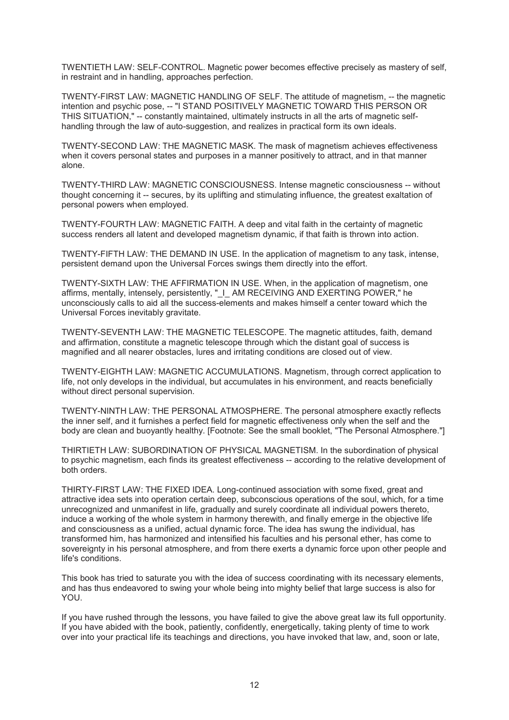TWENTIETH LAW: SELF-CONTROL. Magnetic power becomes effective precisely as mastery of self, in restraint and in handling, approaches perfection.

TWENTY-FIRST LAW: MAGNETIC HANDLING OF SELF. The attitude of magnetism, -- the magnetic intention and psychic pose, -- "I STAND POSITIVELY MAGNETIC TOWARD THIS PERSON OR THIS SITUATION," -- constantly maintained, ultimately instructs in all the arts of magnetic selfhandling through the law of auto-suggestion, and realizes in practical form its own ideals.

TWENTY-SECOND LAW: THE MAGNETIC MASK. The mask of magnetism achieves effectiveness when it covers personal states and purposes in a manner positively to attract, and in that manner alone.

TWENTY-THIRD LAW: MAGNETIC CONSCIOUSNESS. Intense magnetic consciousness -- without thought concerning it -- secures, by its uplifting and stimulating influence, the greatest exaltation of personal powers when employed.

TWENTY-FOURTH LAW: MAGNETIC FAITH. A deep and vital faith in the certainty of magnetic success renders all latent and developed magnetism dynamic, if that faith is thrown into action.

TWENTY-FIFTH LAW: THE DEMAND IN USE. In the application of magnetism to any task, intense, persistent demand upon the Universal Forces swings them directly into the effort.

TWENTY-SIXTH LAW: THE AFFIRMATION IN USE. When, in the application of magnetism, one affirms, mentally, intensely, persistently, "\_I\_ AM RECEIVING AND EXERTING POWER," he unconsciously calls to aid all the success-elements and makes himself a center toward which the Universal Forces inevitably gravitate.

TWENTY-SEVENTH LAW: THE MAGNETIC TELESCOPE. The magnetic attitudes, faith, demand and affirmation, constitute a magnetic telescope through which the distant goal of success is magnified and all nearer obstacles, lures and irritating conditions are closed out of view.

TWENTY-EIGHTH LAW: MAGNETIC ACCUMULATIONS. Magnetism, through correct application to life, not only develops in the individual, but accumulates in his environment, and reacts beneficially without direct personal supervision.

TWENTY-NINTH LAW: THE PERSONAL ATMOSPHERE. The personal atmosphere exactly reflects the inner self, and it furnishes a perfect field for magnetic effectiveness only when the self and the body are clean and buoyantly healthy. [Footnote: See the small booklet, "The Personal Atmosphere."]

THIRTIETH LAW: SUBORDINATION OF PHYSICAL MAGNETISM. In the subordination of physical to psychic magnetism, each finds its greatest effectiveness -- according to the relative development of both orders.

THIRTY-FIRST LAW: THE FIXED IDEA. Long-continued association with some fixed, great and attractive idea sets into operation certain deep, subconscious operations of the soul, which, for a time unrecognized and unmanifest in life, gradually and surely coordinate all individual powers thereto, induce a working of the whole system in harmony therewith, and finally emerge in the objective life and consciousness as a unified, actual dynamic force. The idea has swung the individual, has transformed him, has harmonized and intensified his faculties and his personal ether, has come to sovereignty in his personal atmosphere, and from there exerts a dynamic force upon other people and life's conditions.

This book has tried to saturate you with the idea of success coordinating with its necessary elements, and has thus endeavored to swing your whole being into mighty belief that large success is also for YOU.

If you have rushed through the lessons, you have failed to give the above great law its full opportunity. If you have abided with the book, patiently, confidently, energetically, taking plenty of time to work over into your practical life its teachings and directions, you have invoked that law, and, soon or late,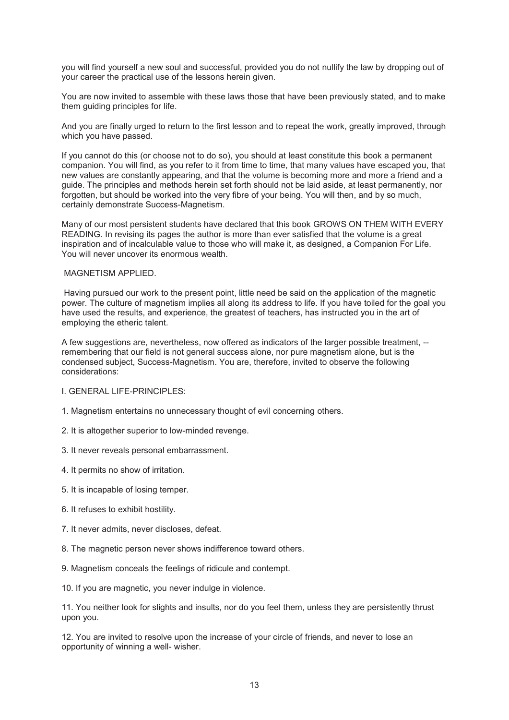you will find yourself a new soul and successful, provided you do not nullify the law by dropping out of your career the practical use of the lessons herein given.

You are now invited to assemble with these laws those that have been previously stated, and to make them guiding principles for life.

And you are finally urged to return to the first lesson and to repeat the work, greatly improved, through which you have passed.

If you cannot do this (or choose not to do so), you should at least constitute this book a permanent companion. You will find, as you refer to it from time to time, that many values have escaped you, that new values are constantly appearing, and that the volume is becoming more and more a friend and a guide. The principles and methods herein set forth should not be laid aside, at least permanently, nor forgotten, but should be worked into the very fibre of your being. You will then, and by so much, certainly demonstrate Success-Magnetism.

Many of our most persistent students have declared that this book GROWS ON THEM WITH EVERY READING. In revising its pages the author is more than ever satisfied that the volume is a great inspiration and of incalculable value to those who will make it, as designed, a Companion For Life. You will never uncover its enormous wealth.

#### MAGNETISM APPLIED.

 Having pursued our work to the present point, little need be said on the application of the magnetic power. The culture of magnetism implies all along its address to life. If you have toiled for the goal you have used the results, and experience, the greatest of teachers, has instructed you in the art of employing the etheric talent.

A few suggestions are, nevertheless, now offered as indicators of the larger possible treatment, - remembering that our field is not general success alone, nor pure magnetism alone, but is the condensed subject, Success-Magnetism. You are, therefore, invited to observe the following considerations:

I. GENERAL LIFE-PRINCIPLES:

- 1. Magnetism entertains no unnecessary thought of evil concerning others.
- 2. It is altogether superior to low-minded revenge.
- 3. It never reveals personal embarrassment.
- 4. It permits no show of irritation.
- 5. It is incapable of losing temper.
- 6. It refuses to exhibit hostility.
- 7. It never admits, never discloses, defeat.
- 8. The magnetic person never shows indifference toward others.
- 9. Magnetism conceals the feelings of ridicule and contempt.

10. If you are magnetic, you never indulge in violence.

11. You neither look for slights and insults, nor do you feel them, unless they are persistently thrust upon you.

12. You are invited to resolve upon the increase of your circle of friends, and never to lose an opportunity of winning a well- wisher.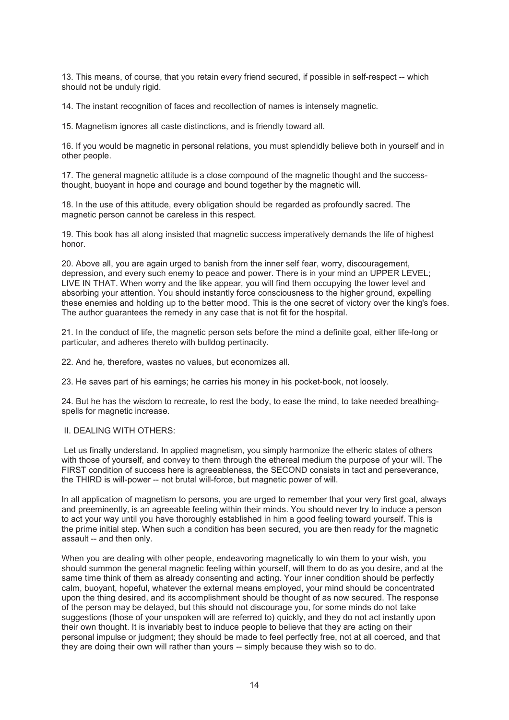13. This means, of course, that you retain every friend secured, if possible in self-respect -- which should not be unduly rigid.

14. The instant recognition of faces and recollection of names is intensely magnetic.

15. Magnetism ignores all caste distinctions, and is friendly toward all.

16. If you would be magnetic in personal relations, you must splendidly believe both in yourself and in other people.

17. The general magnetic attitude is a close compound of the magnetic thought and the successthought, buoyant in hope and courage and bound together by the magnetic will.

18. In the use of this attitude, every obligation should be regarded as profoundly sacred. The magnetic person cannot be careless in this respect.

19. This book has all along insisted that magnetic success imperatively demands the life of highest honor.

20. Above all, you are again urged to banish from the inner self fear, worry, discouragement, depression, and every such enemy to peace and power. There is in your mind an UPPER LEVEL; LIVE IN THAT. When worry and the like appear, you will find them occupying the lower level and absorbing your attention. You should instantly force consciousness to the higher ground, expelling these enemies and holding up to the better mood. This is the one secret of victory over the king's foes. The author guarantees the remedy in any case that is not fit for the hospital.

21. In the conduct of life, the magnetic person sets before the mind a definite goal, either life-long or particular, and adheres thereto with bulldog pertinacity.

22. And he, therefore, wastes no values, but economizes all.

23. He saves part of his earnings; he carries his money in his pocket-book, not loosely.

24. But he has the wisdom to recreate, to rest the body, to ease the mind, to take needed breathingspells for magnetic increase.

## II. DEALING WITH OTHERS:

 Let us finally understand. In applied magnetism, you simply harmonize the etheric states of others with those of yourself, and convey to them through the ethereal medium the purpose of your will. The FIRST condition of success here is agreeableness, the SECOND consists in tact and perseverance, the THIRD is will-power -- not brutal will-force, but magnetic power of will.

In all application of magnetism to persons, you are urged to remember that your very first goal, always and preeminently, is an agreeable feeling within their minds. You should never try to induce a person to act your way until you have thoroughly established in him a good feeling toward yourself. This is the prime initial step. When such a condition has been secured, you are then ready for the magnetic assault -- and then only.

When you are dealing with other people, endeavoring magnetically to win them to your wish, you should summon the general magnetic feeling within yourself, will them to do as you desire, and at the same time think of them as already consenting and acting. Your inner condition should be perfectly calm, buoyant, hopeful, whatever the external means employed, your mind should be concentrated upon the thing desired, and its accomplishment should be thought of as now secured. The response of the person may be delayed, but this should not discourage you, for some minds do not take suggestions (those of your unspoken will are referred to) quickly, and they do not act instantly upon their own thought. It is invariably best to induce people to believe that they are acting on their personal impulse or judgment; they should be made to feel perfectly free, not at all coerced, and that they are doing their own will rather than yours -- simply because they wish so to do.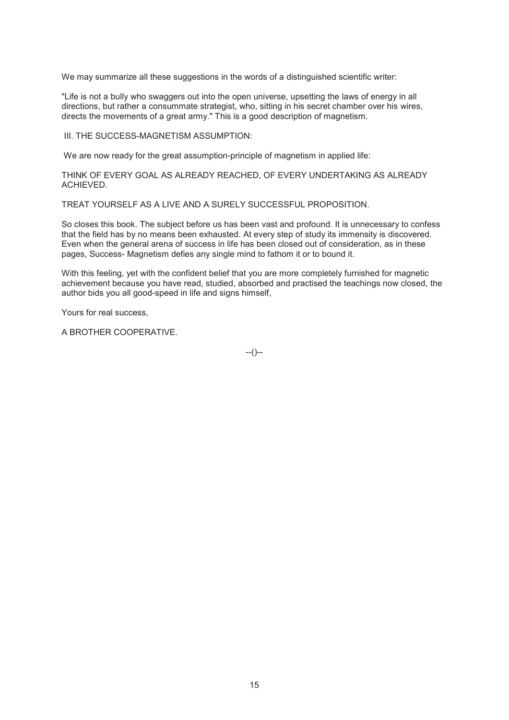We may summarize all these suggestions in the words of a distinguished scientific writer:

"Life is not a bully who swaggers out into the open universe, upsetting the laws of energy in all directions, but rather a consummate strategist, who, sitting in his secret chamber over his wires, directs the movements of a great army." This is a good description of magnetism.

III. THE SUCCESS-MAGNETISM ASSUMPTION:

We are now ready for the great assumption-principle of magnetism in applied life:

THINK OF EVERY GOAL AS ALREADY REACHED, OF EVERY UNDERTAKING AS ALREADY ACHIEVED.

TREAT YOURSELF AS A LIVE AND A SURELY SUCCESSFUL PROPOSITION.

So closes this book. The subject before us has been vast and profound. It is unnecessary to confess that the field has by no means been exhausted. At every step of study its immensity is discovered. Even when the general arena of success in life has been closed out of consideration, as in these pages, Success- Magnetism defies any single mind to fathom it or to bound it.

With this feeling, yet with the confident belief that you are more completely furnished for magnetic achievement because you have read, studied, absorbed and practised the teachings now closed, the author bids you all good-speed in life and signs himself,

Yours for real success,

A BROTHER COOPERATIVE.

--()--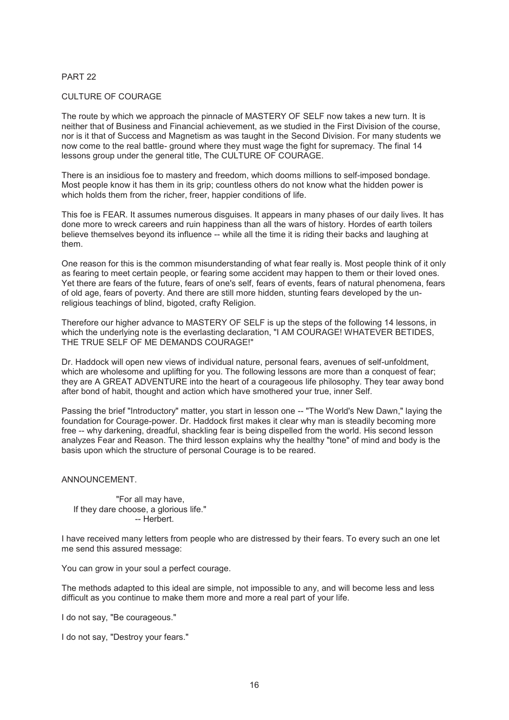# PART 22

## CULTURE OF COURAGE

The route by which we approach the pinnacle of MASTERY OF SELF now takes a new turn. It is neither that of Business and Financial achievement, as we studied in the First Division of the course, nor is it that of Success and Magnetism as was taught in the Second Division. For many students we now come to the real battle- ground where they must wage the fight for supremacy. The final 14 lessons group under the general title, The CULTURE OF COURAGE.

There is an insidious foe to mastery and freedom, which dooms millions to self-imposed bondage. Most people know it has them in its grip; countless others do not know what the hidden power is which holds them from the richer, freer, happier conditions of life.

This foe is FEAR. It assumes numerous disguises. It appears in many phases of our daily lives. It has done more to wreck careers and ruin happiness than all the wars of history. Hordes of earth toilers believe themselves beyond its influence -- while all the time it is riding their backs and laughing at them.

One reason for this is the common misunderstanding of what fear really is. Most people think of it only as fearing to meet certain people, or fearing some accident may happen to them or their loved ones. Yet there are fears of the future, fears of one's self, fears of events, fears of natural phenomena, fears of old age, fears of poverty. And there are still more hidden, stunting fears developed by the unreligious teachings of blind, bigoted, crafty Religion.

Therefore our higher advance to MASTERY OF SELF is up the steps of the following 14 lessons, in which the underlying note is the everlasting declaration, "I AM COURAGE! WHATEVER BETIDES, THE TRUE SELF OF ME DEMANDS COURAGE!"

Dr. Haddock will open new views of individual nature, personal fears, avenues of self-unfoldment, which are wholesome and uplifting for you. The following lessons are more than a conquest of fear: they are A GREAT ADVENTURE into the heart of a courageous life philosophy. They tear away bond after bond of habit, thought and action which have smothered your true, inner Self.

Passing the brief "Introductory" matter, you start in lesson one -- "The World's New Dawn," laying the foundation for Courage-power. Dr. Haddock first makes it clear why man is steadily becoming more free -- why darkening, dreadful, shackling fear is being dispelled from the world. His second lesson analyzes Fear and Reason. The third lesson explains why the healthy "tone" of mind and body is the basis upon which the structure of personal Courage is to be reared.

#### ANNOUNCEMENT.

 "For all may have, If they dare choose, a glorious life." -- Herbert.

I have received many letters from people who are distressed by their fears. To every such an one let me send this assured message:

You can grow in your soul a perfect courage.

The methods adapted to this ideal are simple, not impossible to any, and will become less and less difficult as you continue to make them more and more a real part of your life.

I do not say, "Be courageous."

I do not say, "Destroy your fears."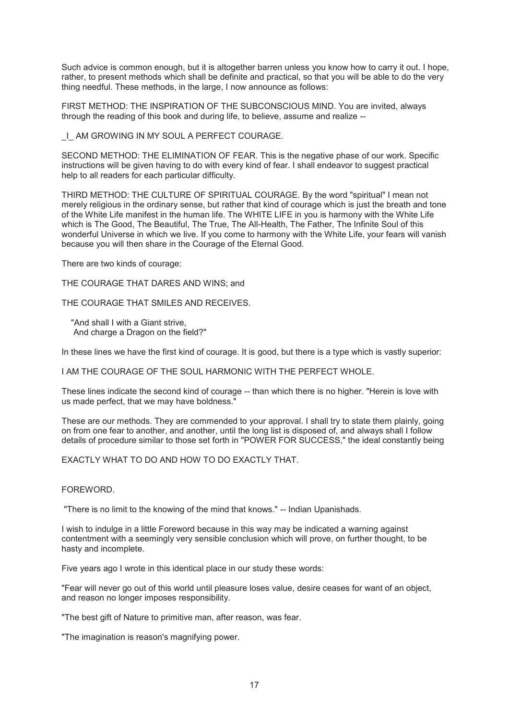Such advice is common enough, but it is altogether barren unless you know how to carry it out. I hope, rather, to present methods which shall be definite and practical, so that you will be able to do the very thing needful. These methods, in the large, I now announce as follows:

FIRST METHOD: THE INSPIRATION OF THE SUBCONSCIOUS MIND. You are invited, always through the reading of this book and during life, to believe, assume and realize --

\_I\_ AM GROWING IN MY SOUL A PERFECT COURAGE.

SECOND METHOD: THE ELIMINATION OF FEAR. This is the negative phase of our work. Specific instructions will be given having to do with every kind of fear. I shall endeavor to suggest practical help to all readers for each particular difficulty.

THIRD METHOD: THE CULTURE OF SPIRITUAL COURAGE. By the word "spiritual" I mean not merely religious in the ordinary sense, but rather that kind of courage which is just the breath and tone of the White Life manifest in the human life. The WHITE LIFE in you is harmony with the White Life which is The Good, The Beautiful, The True, The All-Health, The Father, The Infinite Soul of this wonderful Universe in which we live. If you come to harmony with the White Life, your fears will vanish because you will then share in the Courage of the Eternal Good.

There are two kinds of courage:

THE COURAGE THAT DARES AND WINS; and

THE COURAGE THAT SMILES AND RECEIVES.

 "And shall I with a Giant strive, And charge a Dragon on the field?"

In these lines we have the first kind of courage. It is good, but there is a type which is vastly superior:

I AM THE COURAGE OF THE SOUL HARMONIC WITH THE PERFECT WHOLE.

These lines indicate the second kind of courage -- than which there is no higher. "Herein is love with us made perfect, that we may have boldness."

These are our methods. They are commended to your approval. I shall try to state them plainly, going on from one fear to another, and another, until the long list is disposed of, and always shall I follow details of procedure similar to those set forth in "POWER FOR SUCCESS," the ideal constantly being

EXACTLY WHAT TO DO AND HOW TO DO EXACTLY THAT.

FOREWORD.

"There is no limit to the knowing of the mind that knows." -- Indian Upanishads.

I wish to indulge in a little Foreword because in this way may be indicated a warning against contentment with a seemingly very sensible conclusion which will prove, on further thought, to be hasty and incomplete.

Five years ago I wrote in this identical place in our study these words:

"Fear will never go out of this world until pleasure loses value, desire ceases for want of an object, and reason no longer imposes responsibility.

"The best gift of Nature to primitive man, after reason, was fear.

"The imagination is reason's magnifying power.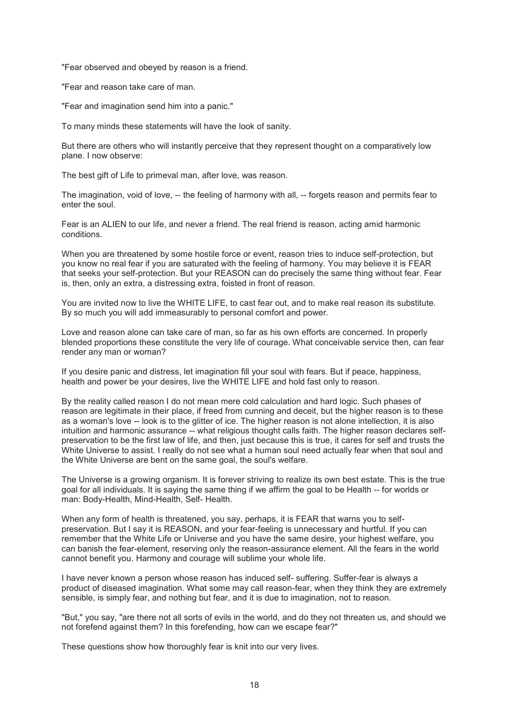"Fear observed and obeyed by reason is a friend.

"Fear and reason take care of man.

"Fear and imagination send him into a panic."

To many minds these statements will have the look of sanity.

But there are others who will instantly perceive that they represent thought on a comparatively low plane. I now observe:

The best gift of Life to primeval man, after love, was reason.

The imagination, void of love, -- the feeling of harmony with all, -- forgets reason and permits fear to enter the soul.

Fear is an ALIEN to our life, and never a friend. The real friend is reason, acting amid harmonic conditions.

When you are threatened by some hostile force or event, reason tries to induce self-protection, but you know no real fear if you are saturated with the feeling of harmony. You may believe it is FEAR that seeks your self-protection. But your REASON can do precisely the same thing without fear. Fear is, then, only an extra, a distressing extra, foisted in front of reason.

You are invited now to live the WHITE LIFE, to cast fear out, and to make real reason its substitute. By so much you will add immeasurably to personal comfort and power.

Love and reason alone can take care of man, so far as his own efforts are concerned. In properly blended proportions these constitute the very life of courage. What conceivable service then, can fear render any man or woman?

If you desire panic and distress, let imagination fill your soul with fears. But if peace, happiness, health and power be your desires, live the WHITE LIFE and hold fast only to reason.

By the reality called reason I do not mean mere cold calculation and hard logic. Such phases of reason are legitimate in their place, if freed from cunning and deceit, but the higher reason is to these as a woman's love -- look is to the glitter of ice. The higher reason is not alone intellection, it is also intuition and harmonic assurance -- what religious thought calls faith. The higher reason declares selfpreservation to be the first law of life, and then, just because this is true, it cares for self and trusts the White Universe to assist. I really do not see what a human soul need actually fear when that soul and the White Universe are bent on the same goal, the soul's welfare.

The Universe is a growing organism. It is forever striving to realize its own best estate. This is the true goal for all individuals. It is saying the same thing if we affirm the goal to be Health -- for worlds or man: Body-Health, Mind-Health, Self- Health.

When any form of health is threatened, you say, perhaps, it is FEAR that warns you to selfpreservation. But I say it is REASON, and your fear-feeling is unnecessary and hurtful. If you can remember that the White Life or Universe and you have the same desire, your highest welfare, you can banish the fear-element, reserving only the reason-assurance element. All the fears in the world cannot benefit you. Harmony and courage will sublime your whole life.

I have never known a person whose reason has induced self- suffering. Suffer-fear is always a product of diseased imagination. What some may call reason-fear, when they think they are extremely sensible, is simply fear, and nothing but fear, and it is due to imagination, not to reason.

"But," you say, "are there not all sorts of evils in the world, and do they not threaten us, and should we not forefend against them? In this forefending, how can we escape fear?"

These questions show how thoroughly fear is knit into our very lives.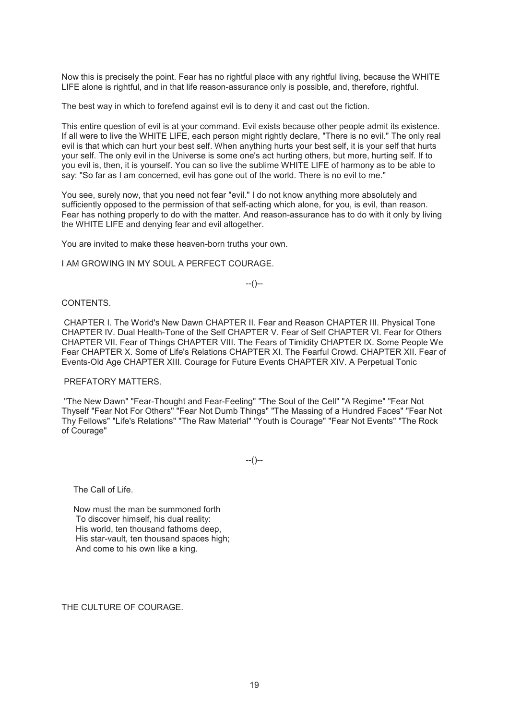Now this is precisely the point. Fear has no rightful place with any rightful living, because the WHITE LIFE alone is rightful, and in that life reason-assurance only is possible, and, therefore, rightful.

The best way in which to forefend against evil is to deny it and cast out the fiction.

This entire question of evil is at your command. Evil exists because other people admit its existence. If all were to live the WHITE LIFE, each person might rightly declare, "There is no evil." The only real evil is that which can hurt your best self. When anything hurts your best self, it is your self that hurts your self. The only evil in the Universe is some one's act hurting others, but more, hurting self. If to you evil is, then, it is yourself. You can so live the sublime WHITE LIFE of harmony as to be able to say: "So far as I am concerned, evil has gone out of the world. There is no evil to me."

You see, surely now, that you need not fear "evil." I do not know anything more absolutely and sufficiently opposed to the permission of that self-acting which alone, for you, is evil, than reason. Fear has nothing properly to do with the matter. And reason-assurance has to do with it only by living the WHITE LIFE and denying fear and evil altogether.

You are invited to make these heaven-born truths your own.

I AM GROWING IN MY SOUL A PERFECT COURAGE.

--()--

## CONTENTS.

 CHAPTER I. The World's New Dawn CHAPTER II. Fear and Reason CHAPTER III. Physical Tone CHAPTER IV. Dual Health-Tone of the Self CHAPTER V. Fear of Self CHAPTER VI. Fear for Others CHAPTER VII. Fear of Things CHAPTER VIII. The Fears of Timidity CHAPTER IX. Some People We Fear CHAPTER X. Some of Life's Relations CHAPTER XI. The Fearful Crowd. CHAPTER XII. Fear of Events-Old Age CHAPTER XIII. Courage for Future Events CHAPTER XIV. A Perpetual Tonic

#### PREFATORY MATTERS.

 "The New Dawn" "Fear-Thought and Fear-Feeling" "The Soul of the Cell" "A Regime" "Fear Not Thyself "Fear Not For Others" "Fear Not Dumb Things" "The Massing of a Hundred Faces" "Fear Not Thy Fellows" "Life's Relations" "The Raw Material" "Youth is Courage" "Fear Not Events" "The Rock of Courage"

 $-(-)$ 

The Call of Life.

 Now must the man be summoned forth To discover himself, his dual reality: His world, ten thousand fathoms deep, His star-vault, ten thousand spaces high; And come to his own like a king.

THE CULTURE OF COURAGE.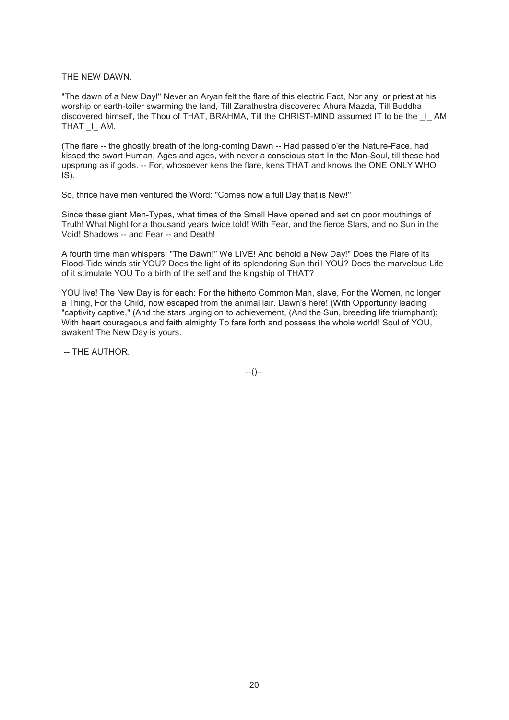THE NEW DAWN.

"The dawn of a New Day!" Never an Aryan felt the flare of this electric Fact, Nor any, or priest at his worship or earth-toiler swarming the land, Till Zarathustra discovered Ahura Mazda, Till Buddha discovered himself, the Thou of THAT, BRAHMA, Till the CHRIST-MIND assumed IT to be the  $\;$  I AM THAT I AM.

(The flare -- the ghostly breath of the long-coming Dawn -- Had passed o'er the Nature-Face, had kissed the swart Human, Ages and ages, with never a conscious start In the Man-Soul, till these had upsprung as if gods. -- For, whosoever kens the flare, kens THAT and knows the ONE ONLY WHO IS).

So, thrice have men ventured the Word: "Comes now a full Day that is New!"

Since these giant Men-Types, what times of the Small Have opened and set on poor mouthings of Truth! What Night for a thousand years twice told! With Fear, and the fierce Stars, and no Sun in the Void! Shadows -- and Fear -- and Death!

A fourth time man whispers: "The Dawn!" We LIVE! And behold a New Day!" Does the Flare of its Flood-Tide winds stir YOU? Does the light of its splendoring Sun thrill YOU? Does the marvelous Life of it stimulate YOU To a birth of the self and the kingship of THAT?

YOU live! The New Day is for each: For the hitherto Common Man, slave, For the Women, no longer a Thing, For the Child, now escaped from the animal lair. Dawn's here! (With Opportunity leading "captivity captive," (And the stars urging on to achievement, (And the Sun, breeding life triumphant); With heart courageous and faith almighty To fare forth and possess the whole world! Soul of YOU, awaken! The New Day is yours.

-- THE AUTHOR.

 $-(-)$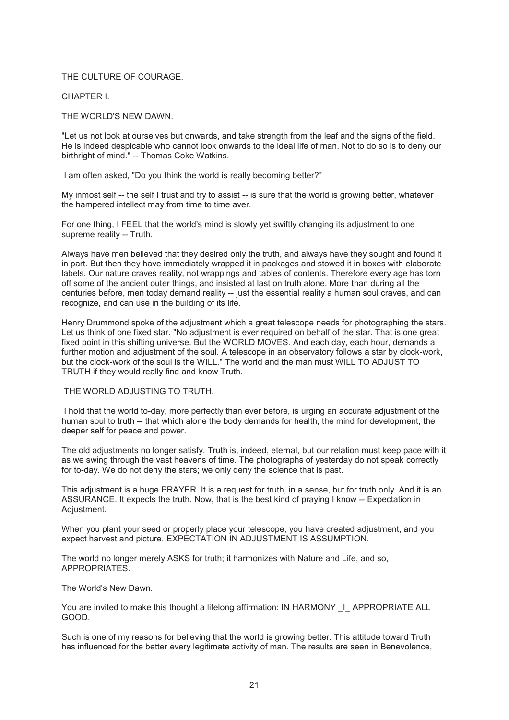# THE CULTURE OF COURAGE.

CHAPTER I.

THE WORLD'S NEW DAWN.

"Let us not look at ourselves but onwards, and take strength from the leaf and the signs of the field. He is indeed despicable who cannot look onwards to the ideal life of man. Not to do so is to deny our birthright of mind." -- Thomas Coke Watkins.

I am often asked, "Do you think the world is really becoming better?"

My inmost self -- the self I trust and try to assist -- is sure that the world is growing better, whatever the hampered intellect may from time to time aver.

For one thing, I FEEL that the world's mind is slowly yet swiftly changing its adjustment to one supreme reality -- Truth.

Always have men believed that they desired only the truth, and always have they sought and found it in part. But then they have immediately wrapped it in packages and stowed it in boxes with elaborate labels. Our nature craves reality, not wrappings and tables of contents. Therefore every age has torn off some of the ancient outer things, and insisted at last on truth alone. More than during all the centuries before, men today demand reality -- just the essential reality a human soul craves, and can recognize, and can use in the building of its life.

Henry Drummond spoke of the adjustment which a great telescope needs for photographing the stars. Let us think of one fixed star. "No adjustment is ever required on behalf of the star. That is one great fixed point in this shifting universe. But the WORLD MOVES. And each day, each hour, demands a further motion and adjustment of the soul. A telescope in an observatory follows a star by clock-work, but the clock-work of the soul is the WILL." The world and the man must WILL TO ADJUST TO TRUTH if they would really find and know Truth.

## THE WORLD ADJUSTING TO TRUTH.

 I hold that the world to-day, more perfectly than ever before, is urging an accurate adjustment of the human soul to truth -- that which alone the body demands for health, the mind for development, the deeper self for peace and power.

The old adjustments no longer satisfy. Truth is, indeed, eternal, but our relation must keep pace with it as we swing through the vast heavens of time. The photographs of yesterday do not speak correctly for to-day. We do not deny the stars; we only deny the science that is past.

This adjustment is a huge PRAYER. It is a request for truth, in a sense, but for truth only. And it is an ASSURANCE. It expects the truth. Now, that is the best kind of praying I know -- Expectation in Adjustment.

When you plant your seed or properly place your telescope, you have created adjustment, and you expect harvest and picture. EXPECTATION IN ADJUSTMENT IS ASSUMPTION.

The world no longer merely ASKS for truth; it harmonizes with Nature and Life, and so, APPROPRIATES.

The World's New Dawn.

You are invited to make this thought a lifelong affirmation: IN HARMONY | APPROPRIATE ALL GOOD.

Such is one of my reasons for believing that the world is growing better. This attitude toward Truth has influenced for the better every legitimate activity of man. The results are seen in Benevolence,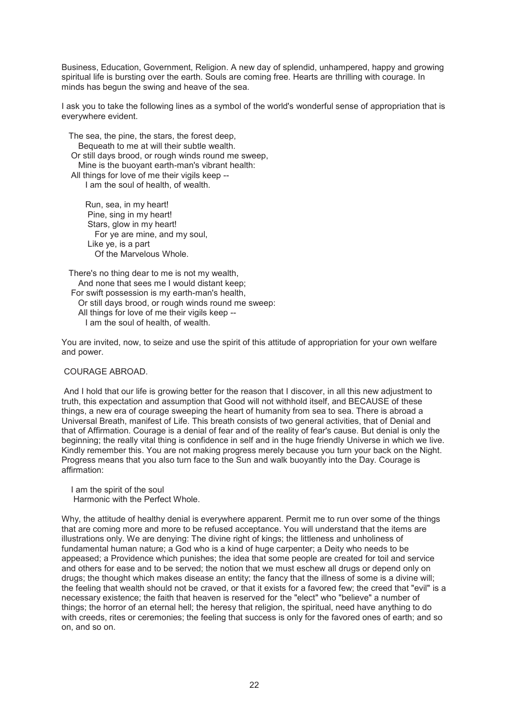Business, Education, Government, Religion. A new day of splendid, unhampered, happy and growing spiritual life is bursting over the earth. Souls are coming free. Hearts are thrilling with courage. In minds has begun the swing and heave of the sea.

I ask you to take the following lines as a symbol of the world's wonderful sense of appropriation that is everywhere evident.

 The sea, the pine, the stars, the forest deep, Bequeath to me at will their subtle wealth. Or still days brood, or rough winds round me sweep, Mine is the buoyant earth-man's vibrant health: All things for love of me their vigils keep -- I am the soul of health, of wealth.

 Run, sea, in my heart! Pine, sing in my heart! Stars, glow in my heart! For ye are mine, and my soul, Like ye, is a part Of the Marvelous Whole.

 There's no thing dear to me is not my wealth, And none that sees me I would distant keep; For swift possession is my earth-man's health, Or still days brood, or rough winds round me sweep: All things for love of me their vigils keep -- I am the soul of health, of wealth.

You are invited, now, to seize and use the spirit of this attitude of appropriation for your own welfare and power.

## COURAGE ABROAD.

 And I hold that our life is growing better for the reason that I discover, in all this new adjustment to truth, this expectation and assumption that Good will not withhold itself, and BECAUSE of these things, a new era of courage sweeping the heart of humanity from sea to sea. There is abroad a Universal Breath, manifest of Life. This breath consists of two general activities, that of Denial and that of Affirmation. Courage is a denial of fear and of the reality of fear's cause. But denial is only the beginning; the really vital thing is confidence in self and in the huge friendly Universe in which we live. Kindly remember this. You are not making progress merely because you turn your back on the Night. Progress means that you also turn face to the Sun and walk buoyantly into the Day. Courage is affirmation:

 I am the spirit of the soul Harmonic with the Perfect Whole.

Why, the attitude of healthy denial is everywhere apparent. Permit me to run over some of the things that are coming more and more to be refused acceptance. You will understand that the items are illustrations only. We are denying: The divine right of kings; the littleness and unholiness of fundamental human nature; a God who is a kind of huge carpenter; a Deity who needs to be appeased; a Providence which punishes; the idea that some people are created for toil and service and others for ease and to be served; the notion that we must eschew all drugs or depend only on drugs; the thought which makes disease an entity; the fancy that the illness of some is a divine will; the feeling that wealth should not be craved, or that it exists for a favored few; the creed that "evil" is a necessary existence; the faith that heaven is reserved for the "elect" who "believe" a number of things; the horror of an eternal hell; the heresy that religion, the spiritual, need have anything to do with creeds, rites or ceremonies; the feeling that success is only for the favored ones of earth; and so on, and so on.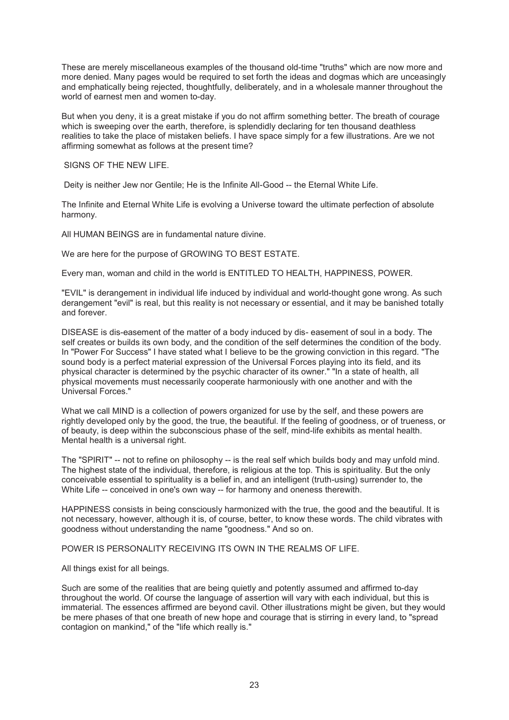These are merely miscellaneous examples of the thousand old-time "truths" which are now more and more denied. Many pages would be required to set forth the ideas and dogmas which are unceasingly and emphatically being rejected, thoughtfully, deliberately, and in a wholesale manner throughout the world of earnest men and women to-day.

But when you deny, it is a great mistake if you do not affirm something better. The breath of courage which is sweeping over the earth, therefore, is splendidly declaring for ten thousand deathless realities to take the place of mistaken beliefs. I have space simply for a few illustrations. Are we not affirming somewhat as follows at the present time?

SIGNS OF THE NEW LIFE.

Deity is neither Jew nor Gentile; He is the Infinite All-Good -- the Eternal White Life.

The Infinite and Eternal White Life is evolving a Universe toward the ultimate perfection of absolute harmony.

All HUMAN BEINGS are in fundamental nature divine.

We are here for the purpose of GROWING TO BEST ESTATE.

Every man, woman and child in the world is ENTITLED TO HEALTH, HAPPINESS, POWER.

"EVIL" is derangement in individual life induced by individual and world-thought gone wrong. As such derangement "evil" is real, but this reality is not necessary or essential, and it may be banished totally and forever.

DISEASE is dis-easement of the matter of a body induced by dis- easement of soul in a body. The self creates or builds its own body, and the condition of the self determines the condition of the body. In "Power For Success" I have stated what I believe to be the growing conviction in this regard. "The sound body is a perfect material expression of the Universal Forces playing into its field, and its physical character is determined by the psychic character of its owner." "In a state of health, all physical movements must necessarily cooperate harmoniously with one another and with the Universal Forces."

What we call MIND is a collection of powers organized for use by the self, and these powers are rightly developed only by the good, the true, the beautiful. If the feeling of goodness, or of trueness, or of beauty, is deep within the subconscious phase of the self, mind-life exhibits as mental health. Mental health is a universal right.

The "SPIRIT" -- not to refine on philosophy -- is the real self which builds body and may unfold mind. The highest state of the individual, therefore, is religious at the top. This is spirituality. But the only conceivable essential to spirituality is a belief in, and an intelligent (truth-using) surrender to, the White Life -- conceived in one's own way -- for harmony and oneness therewith.

HAPPINESS consists in being consciously harmonized with the true, the good and the beautiful. It is not necessary, however, although it is, of course, better, to know these words. The child vibrates with goodness without understanding the name "goodness." And so on.

POWER IS PERSONALITY RECEIVING ITS OWN IN THE REALMS OF LIFE.

All things exist for all beings.

Such are some of the realities that are being quietly and potently assumed and affirmed to-day throughout the world. Of course the language of assertion will vary with each individual, but this is immaterial. The essences affirmed are beyond cavil. Other illustrations might be given, but they would be mere phases of that one breath of new hope and courage that is stirring in every land, to "spread contagion on mankind," of the "life which really is."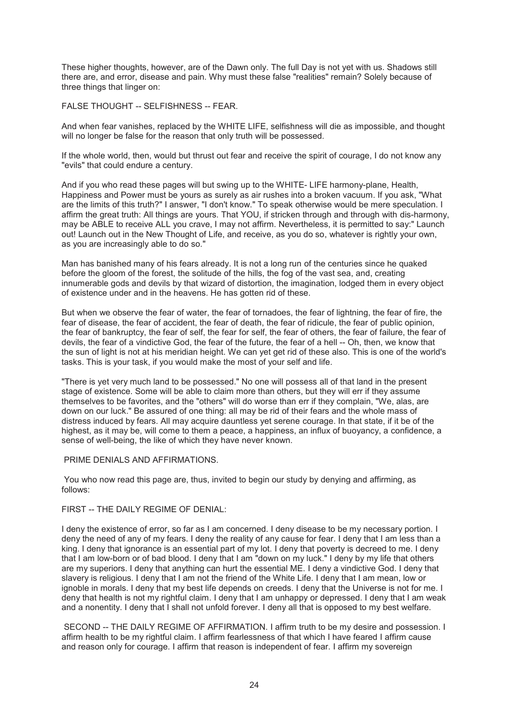These higher thoughts, however, are of the Dawn only. The full Day is not yet with us. Shadows still there are, and error, disease and pain. Why must these false "realities" remain? Solely because of three things that linger on:

FALSE THOUGHT -- SELFISHNESS -- FEAR.

And when fear vanishes, replaced by the WHITE LIFE, selfishness will die as impossible, and thought will no longer be false for the reason that only truth will be possessed.

If the whole world, then, would but thrust out fear and receive the spirit of courage, I do not know any "evils" that could endure a century.

And if you who read these pages will but swing up to the WHITE- LIFE harmony-plane, Health, Happiness and Power must be yours as surely as air rushes into a broken vacuum. If you ask, "What are the limits of this truth?" I answer, "I don't know." To speak otherwise would be mere speculation. I affirm the great truth: All things are yours. That YOU, if stricken through and through with dis-harmony, may be ABLE to receive ALL you crave, I may not affirm. Nevertheless, it is permitted to say:" Launch out! Launch out in the New Thought of Life, and receive, as you do so, whatever is rightly your own, as you are increasingly able to do so."

Man has banished many of his fears already. It is not a long run of the centuries since he quaked before the gloom of the forest, the solitude of the hills, the fog of the vast sea, and, creating innumerable gods and devils by that wizard of distortion, the imagination, lodged them in every object of existence under and in the heavens. He has gotten rid of these.

But when we observe the fear of water, the fear of tornadoes, the fear of lightning, the fear of fire, the fear of disease, the fear of accident, the fear of death, the fear of ridicule, the fear of public opinion, the fear of bankruptcy, the fear of self, the fear for self, the fear of others, the fear of failure, the fear of devils, the fear of a vindictive God, the fear of the future, the fear of a hell -- Oh, then, we know that the sun of light is not at his meridian height. We can yet get rid of these also. This is one of the world's tasks. This is your task, if you would make the most of your self and life.

"There is yet very much land to be possessed." No one will possess all of that land in the present stage of existence. Some will be able to claim more than others, but they will err if they assume themselves to be favorites, and the "others" will do worse than err if they complain, "We, alas, are down on our luck." Be assured of one thing: all may be rid of their fears and the whole mass of distress induced by fears. All may acquire dauntless yet serene courage. In that state, if it be of the highest, as it may be, will come to them a peace, a happiness, an influx of buoyancy, a confidence, a sense of well-being, the like of which they have never known.

## PRIME DENIALS AND AFFIRMATIONS.

 You who now read this page are, thus, invited to begin our study by denying and affirming, as follows:

## FIRST -- THE DAILY REGIME OF DENIAL:

I deny the existence of error, so far as I am concerned. I deny disease to be my necessary portion. I deny the need of any of my fears. I deny the reality of any cause for fear. I deny that I am less than a king. I deny that ignorance is an essential part of my lot. I deny that poverty is decreed to me. I deny that I am low-born or of bad blood. I deny that I am "down on my luck." I deny by my life that others are my superiors. I deny that anything can hurt the essential ME. I deny a vindictive God. I deny that slavery is religious. I deny that I am not the friend of the White Life. I deny that I am mean, low or ignoble in morals. I deny that my best life depends on creeds. I deny that the Universe is not for me. I deny that health is not my rightful claim. I deny that I am unhappy or depressed. I deny that I am weak and a nonentity. I deny that I shall not unfold forever. I deny all that is opposed to my best welfare.

SECOND -- THE DAILY REGIME OF AFFIRMATION. I affirm truth to be my desire and possession. I affirm health to be my rightful claim. I affirm fearlessness of that which I have feared I affirm cause and reason only for courage. I affirm that reason is independent of fear. I affirm my sovereign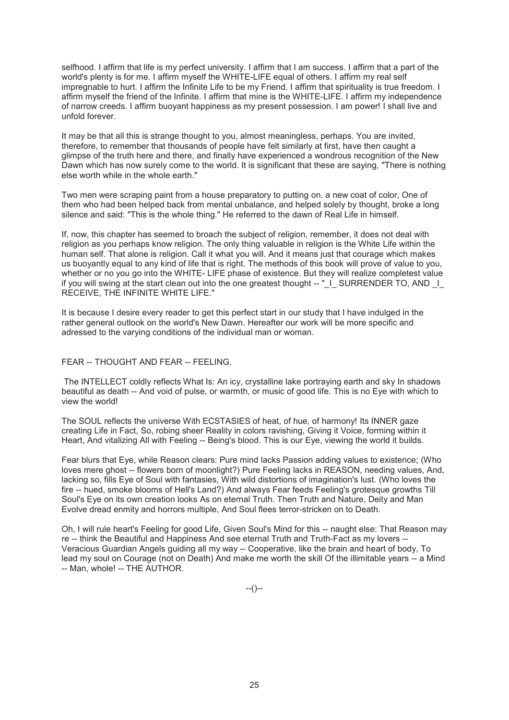selfhood. I affirm that life is my perfect university. I affirm that I am success. I affirm that a part of the world's plenty is for me. I affirm myself the WHITE-LIFE equal of others. I affirm my real self impregnable to hurt. I affirm the Infinite Life to be my Friend. I affirm that spirituality is true freedom. I affirm myself the friend of the Infinite. I affirm that mine is the WHITE-LIFE. I affirm my independence of narrow creeds. I affirm buoyant happiness as my present possession. I am power! I shall live and unfold forever.

It may be that all this is strange thought to you, almost meaningless, perhaps. You are invited, therefore, to remember that thousands of people have felt similarly at first, have then caught a glimpse of the truth here and there, and finally have experienced a wondrous recognition of the New Dawn which has now surely come to the world. It is significant that these are saying, "There is nothing else worth while in the whole earth."

Two men were scraping paint from a house preparatory to putting on. a new coat of color, One of them who had been helped back from mental unbalance, and helped solely by thought, broke a long silence and said: "This is the whole thing." He referred to the dawn of Real Life in himself.

If, now, this chapter has seemed to broach the subject of religion, remember, it does not deal with religion as you perhaps know religion. The only thing valuable in religion is the White Life within the human self. That alone is religion. Call it what you will. And it means just that courage which makes us buoyantly equal to any kind of life that is right. The methods of this book will prove of value to you, whether or no you go into the WHITE- LIFE phase of existence. But they will realize completest value if you will swing at the start clean out into the one greatest thought -- "\_I\_ SURRENDER TO, AND \_I\_ RECEIVE, THE INFINITE WHITE LIFE."

It is because I desire every reader to get this perfect start in our study that I have indulged in the rather general outlook on the world's New Dawn. Hereafter our work will be more specific and adressed to the varying conditions of the individual man or woman.

## FEAR -- THOUGHT AND FEAR -- FEELING.

 The INTELLECT coldly reflects What Is: An icy, crystalline lake portraying earth and sky In shadows beautiful as death -- And void of pulse, or warmth, or music of good life. This is no Eye with which to view the world!

The SOUL reflects the universe With ECSTASIES of heat, of hue, of harmony! Its INNER gaze creating Life in Fact, So, robing sheer Reality in colors ravishing, Giving it Voice, forming within it Heart, And vitalizing All with Feeling -- Being's blood. This is our Eye, viewing the world it builds.

Fear blurs that Eye, while Reason clears: Pure mind lacks Passion adding values to existence; (Who loves mere ghost -- flowers born of moonlight?) Pure Feeling lacks in REASON, needing values, And, lacking so, fills Eye of Soul with fantasies, With wild distortions of imagination's lust. (Who loves the fire -- hued, smoke blooms of Hell's Land?) And always Fear feeds Feeling's grotesque growths Till Soul's Eye on its own creation looks As on eternal Truth. Then Truth and Nature, Deity and Man Evolve dread enmity and horrors multiple, And Soul flees terror-stricken on to Death.

Oh, I will rule heart's Feeling for good Life, Given Soul's Mind for this -- naught else: That Reason may re -- think the Beautiful and Happiness And see eternal Truth and Truth-Fact as my lovers -- Veracious Guardian Angels guiding all my way -- Cooperative, like the brain and heart of body, To lead my soul on Courage (not on Death) And make me worth the skill Of the illimitable years -- a Mind -- Man, whole! -- THE AUTHOR.

--()--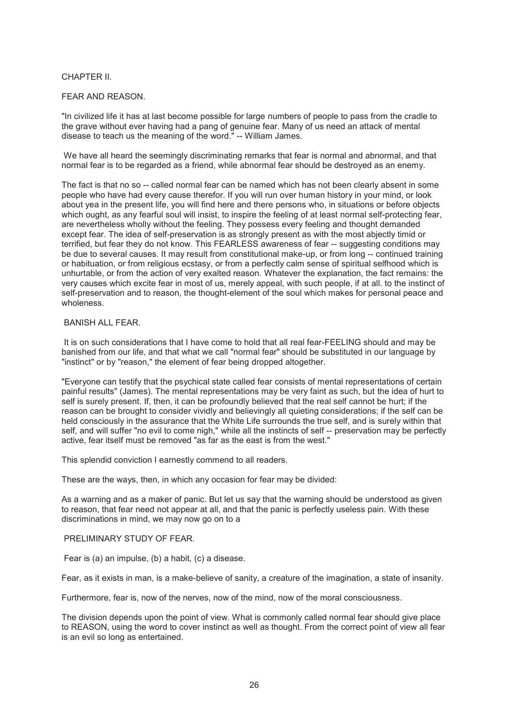# CHAPTER II.

# FEAR AND REASON.

"In civilized life it has at last become possible for large numbers of people to pass from the cradle to the grave without ever having had a pang of genuine fear. Many of us need an attack of mental disease to teach us the meaning of the word." -- William James.

We have all heard the seemingly discriminating remarks that fear is normal and abnormal, and that normal fear is to be regarded as a friend, while abnormal fear should be destroyed as an enemy.

The fact is that no so -- called normal fear can be named which has not been clearly absent in some people who have had every cause therefor. If you will run over human history in your mind, or look about yea in the present life, you will find here and there persons who, in situations or before objects which ought, as any fearful soul will insist, to inspire the feeling of at least normal self-protecting fear, are nevertheless wholly without the feeling. They possess every feeling and thought demanded except fear. The idea of self-preservation is as strongly present as with the most abjectly timid or terrified, but fear they do not know. This FEARLESS awareness of fear -- suggesting conditions may be due to several causes. It may result from constitutional make-up, or from long -- continued training or habituation, or from religious ecstasy, or from a perfectly calm sense of spiritual selfhood which is unhurtable, or from the action of very exalted reason. Whatever the explanation, the fact remains: the very causes which excite fear in most of us, merely appeal, with such people, if at all. to the instinct of self-preservation and to reason, the thought-element of the soul which makes for personal peace and wholeness.

# BANISH ALL FEAR.

 It is on such considerations that I have come to hold that all real fear-FEELING should and may be banished from our life, and that what we call "normal fear" should be substituted in our language by "instinct" or by "reason," the element of fear being dropped altogether.

"Everyone can testify that the psychical state called fear consists of mental representations of certain painful results" (James). The mental representations may be very faint as such, but the idea of hurt to self is surely present. If, then, it can be profoundly believed that the real self cannot be hurt; if the reason can be brought to consider vividly and believingly all quieting considerations; if the self can be held consciously in the assurance that the White Life surrounds the true self, and is surely within that self, and will suffer "no evil to come nigh," while all the instincts of self -- preservation may be perfectly active, fear itself must be removed "as far as the east is from the west."

This splendid conviction I earnestly commend to all readers.

These are the ways, then, in which any occasion for fear may be divided:

As a warning and as a maker of panic. But let us say that the warning should be understood as given to reason, that fear need not appear at all, and that the panic is perfectly useless pain. With these discriminations in mind, we may now go on to a

# PRELIMINARY STUDY OF FEAR.

Fear is (a) an impulse, (b) a habit, (c) a disease.

Fear, as it exists in man, is a make-believe of sanity, a creature of the imagination, a state of insanity.

Furthermore, fear is, now of the nerves, now of the mind, now of the moral consciousness.

The division depends upon the point of view. What is commonly called normal fear should give place to REASON, using the word to cover instinct as well as thought. From the correct point of view all fear is an evil so long as entertained.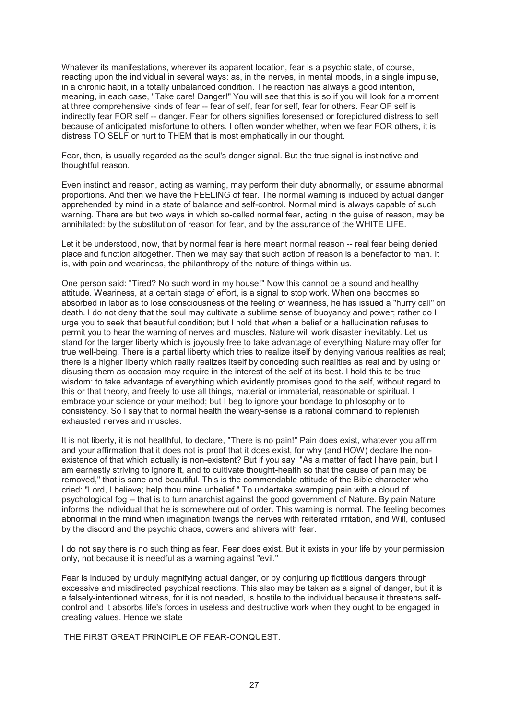Whatever its manifestations, wherever its apparent location, fear is a psychic state, of course, reacting upon the individual in several ways: as, in the nerves, in mental moods, in a single impulse, in a chronic habit, in a totally unbalanced condition. The reaction has always a good intention, meaning, in each case, "Take care! Danger!" You will see that this is so if you will look for a moment at three comprehensive kinds of fear -- fear of self, fear for self, fear for others. Fear OF self is indirectly fear FOR self -- danger. Fear for others signifies foresensed or forepictured distress to self because of anticipated misfortune to others. I often wonder whether, when we fear FOR others, it is distress TO SELF or hurt to THEM that is most emphatically in our thought.

Fear, then, is usually regarded as the soul's danger signal. But the true signal is instinctive and thoughtful reason.

Even instinct and reason, acting as warning, may perform their duty abnormally, or assume abnormal proportions. And then we have the FEELING of fear. The normal warning is induced by actual danger apprehended by mind in a state of balance and self-control. Normal mind is always capable of such warning. There are but two ways in which so-called normal fear, acting in the guise of reason, may be annihilated: by the substitution of reason for fear, and by the assurance of the WHITE LIFE.

Let it be understood, now, that by normal fear is here meant normal reason -- real fear being denied place and function altogether. Then we may say that such action of reason is a benefactor to man. It is, with pain and weariness, the philanthropy of the nature of things within us.

One person said: "Tired? No such word in my house!" Now this cannot be a sound and healthy attitude. Weariness, at a certain stage of effort, is a signal to stop work. When one becomes so absorbed in labor as to lose consciousness of the feeling of weariness, he has issued a "hurry call" on death. I do not deny that the soul may cultivate a sublime sense of buoyancy and power; rather do I urge you to seek that beautiful condition; but I hold that when a belief or a hallucination refuses to permit you to hear the warning of nerves and muscles, Nature will work disaster inevitably. Let us stand for the larger liberty which is joyously free to take advantage of everything Nature may offer for true well-being. There is a partial liberty which tries to realize itself by denying various realities as real; there is a higher liberty which really realizes itself by conceding such realities as real and by using or disusing them as occasion may require in the interest of the self at its best. I hold this to be true wisdom: to take advantage of everything which evidently promises good to the self, without regard to this or that theory, and freely to use all things, material or immaterial, reasonable or spiritual. I embrace your science or your method; but I beg to ignore your bondage to philosophy or to consistency. So I say that to normal health the weary-sense is a rational command to replenish exhausted nerves and muscles.

It is not liberty, it is not healthful, to declare, "There is no pain!" Pain does exist, whatever you affirm, and your affirmation that it does not is proof that it does exist, for why (and HOW) declare the nonexistence of that which actually is non-existent? But if you say, "As a matter of fact I have pain, but I am earnestly striving to ignore it, and to cultivate thought-health so that the cause of pain may be removed," that is sane and beautiful. This is the commendable attitude of the Bible character who cried: "Lord, I believe; help thou mine unbelief." To undertake swamping pain with a cloud of psychological fog -- that is to turn anarchist against the good government of Nature. By pain Nature informs the individual that he is somewhere out of order. This warning is normal. The feeling becomes abnormal in the mind when imagination twangs the nerves with reiterated irritation, and Will, confused by the discord and the psychic chaos, cowers and shivers with fear.

I do not say there is no such thing as fear. Fear does exist. But it exists in your life by your permission only, not because it is needful as a warning against "evil."

Fear is induced by unduly magnifying actual danger, or by conjuring up fictitious dangers through excessive and misdirected psychical reactions. This also may be taken as a signal of danger, but it is a falsely-intentioned witness, for it is not needed, is hostile to the individual because it threatens selfcontrol and it absorbs life's forces in useless and destructive work when they ought to be engaged in creating values. Hence we state

THE FIRST GREAT PRINCIPLE OF FEAR-CONQUEST.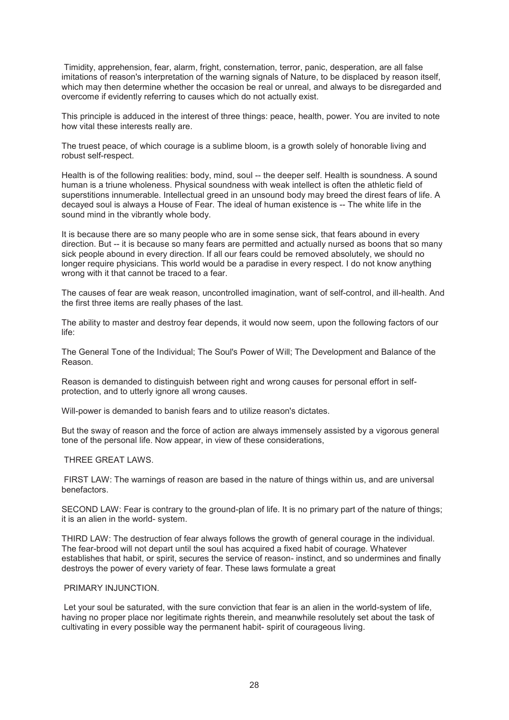Timidity, apprehension, fear, alarm, fright, consternation, terror, panic, desperation, are all false imitations of reason's interpretation of the warning signals of Nature, to be displaced by reason itself. which may then determine whether the occasion be real or unreal, and always to be disregarded and overcome if evidently referring to causes which do not actually exist.

This principle is adduced in the interest of three things: peace, health, power. You are invited to note how vital these interests really are.

The truest peace, of which courage is a sublime bloom, is a growth solely of honorable living and robust self-respect.

Health is of the following realities: body, mind, soul -- the deeper self. Health is soundness. A sound human is a triune wholeness. Physical soundness with weak intellect is often the athletic field of superstitions innumerable. Intellectual greed in an unsound body may breed the direst fears of life. A decayed soul is always a House of Fear. The ideal of human existence is -- The white life in the sound mind in the vibrantly whole body.

It is because there are so many people who are in some sense sick, that fears abound in every direction. But -- it is because so many fears are permitted and actually nursed as boons that so many sick people abound in every direction. If all our fears could be removed absolutely, we should no longer require physicians. This world would be a paradise in every respect. I do not know anything wrong with it that cannot be traced to a fear.

The causes of fear are weak reason, uncontrolled imagination, want of self-control, and ill-health. And the first three items are really phases of the last.

The ability to master and destroy fear depends, it would now seem, upon the following factors of our life:

The General Tone of the Individual; The Soul's Power of Will; The Development and Balance of the Reason.

Reason is demanded to distinguish between right and wrong causes for personal effort in selfprotection, and to utterly ignore all wrong causes.

Will-power is demanded to banish fears and to utilize reason's dictates.

But the sway of reason and the force of action are always immensely assisted by a vigorous general tone of the personal life. Now appear, in view of these considerations,

### THREE GREAT LAWS.

 FIRST LAW: The warnings of reason are based in the nature of things within us, and are universal benefactors.

SECOND LAW: Fear is contrary to the ground-plan of life. It is no primary part of the nature of things; it is an alien in the world- system.

THIRD LAW: The destruction of fear always follows the growth of general courage in the individual. The fear-brood will not depart until the soul has acquired a fixed habit of courage. Whatever establishes that habit, or spirit, secures the service of reason- instinct, and so undermines and finally destroys the power of every variety of fear. These laws formulate a great

### PRIMARY INJUNCTION.

 Let your soul be saturated, with the sure conviction that fear is an alien in the world-system of life, having no proper place nor legitimate rights therein, and meanwhile resolutely set about the task of cultivating in every possible way the permanent habit- spirit of courageous living.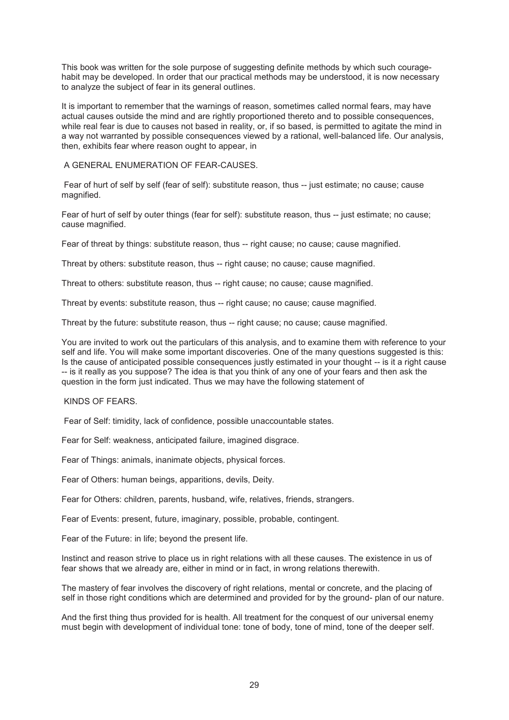This book was written for the sole purpose of suggesting definite methods by which such couragehabit may be developed. In order that our practical methods may be understood, it is now necessary to analyze the subject of fear in its general outlines.

It is important to remember that the warnings of reason, sometimes called normal fears, may have actual causes outside the mind and are rightly proportioned thereto and to possible consequences, while real fear is due to causes not based in reality, or, if so based, is permitted to agitate the mind in a way not warranted by possible consequences viewed by a rational, well-balanced life. Our analysis, then, exhibits fear where reason ought to appear, in

A GENERAL ENUMERATION OF FEAR-CAUSES.

 Fear of hurt of self by self (fear of self): substitute reason, thus -- just estimate; no cause; cause magnified.

Fear of hurt of self by outer things (fear for self): substitute reason, thus -- just estimate; no cause; cause magnified.

Fear of threat by things: substitute reason, thus -- right cause; no cause; cause magnified.

Threat by others: substitute reason, thus -- right cause; no cause; cause magnified.

Threat to others: substitute reason, thus -- right cause; no cause; cause magnified.

Threat by events: substitute reason, thus -- right cause; no cause; cause magnified.

Threat by the future: substitute reason, thus -- right cause; no cause; cause magnified.

You are invited to work out the particulars of this analysis, and to examine them with reference to your self and life. You will make some important discoveries. One of the many questions suggested is this: Is the cause of anticipated possible consequences justly estimated in your thought -- is it a right cause -- is it really as you suppose? The idea is that you think of any one of your fears and then ask the question in the form just indicated. Thus we may have the following statement of

KINDS OF FEARS.

Fear of Self: timidity, lack of confidence, possible unaccountable states.

Fear for Self: weakness, anticipated failure, imagined disgrace.

Fear of Things: animals, inanimate objects, physical forces.

Fear of Others: human beings, apparitions, devils, Deity.

Fear for Others: children, parents, husband, wife, relatives, friends, strangers.

Fear of Events: present, future, imaginary, possible, probable, contingent.

Fear of the Future: in life; beyond the present life.

Instinct and reason strive to place us in right relations with all these causes. The existence in us of fear shows that we already are, either in mind or in fact, in wrong relations therewith.

The mastery of fear involves the discovery of right relations, mental or concrete, and the placing of self in those right conditions which are determined and provided for by the ground- plan of our nature.

And the first thing thus provided for is health. All treatment for the conquest of our universal enemy must begin with development of individual tone: tone of body, tone of mind, tone of the deeper self.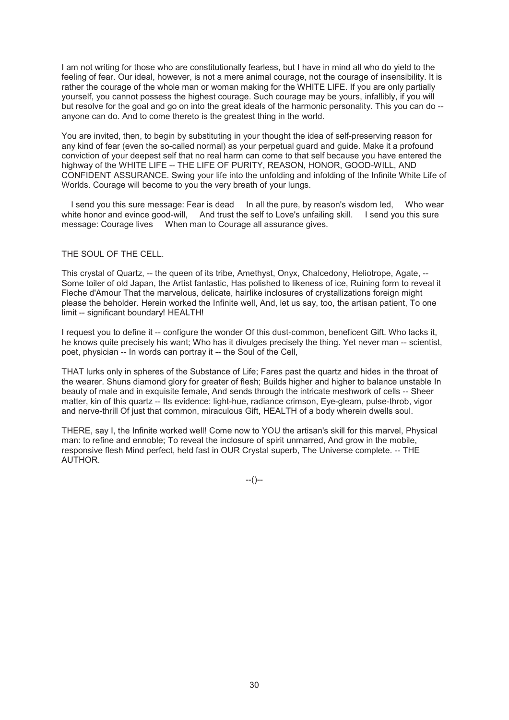I am not writing for those who are constitutionally fearless, but I have in mind all who do yield to the feeling of fear. Our ideal, however, is not a mere animal courage, not the courage of insensibility. It is rather the courage of the whole man or woman making for the WHITE LIFE. If you are only partially yourself, you cannot possess the highest courage. Such courage may be yours, infallibly, if you will but resolve for the goal and go on into the great ideals of the harmonic personality. This you can do - anyone can do. And to come thereto is the greatest thing in the world.

You are invited, then, to begin by substituting in your thought the idea of self-preserving reason for any kind of fear (even the so-called normal) as your perpetual guard and guide. Make it a profound conviction of your deepest self that no real harm can come to that self because you have entered the highway of the WHITE LIFE -- THE LIFE OF PURITY, REASON, HONOR, GOOD-WILL, AND CONFIDENT ASSURANCE. Swing your life into the unfolding and infolding of the Infinite White Life of Worlds. Courage will become to you the very breath of your lungs.

I send you this sure message: Fear is dead In all the pure, by reason's wisdom led. Who wear white honor and evince good-will, And trust the self to Love's unfailing skill. I send you this sure message: Courage lives When man to Courage all assurance gives.

#### THE SOUL OF THE CELL.

This crystal of Quartz, -- the queen of its tribe, Amethyst, Onyx, Chalcedony, Heliotrope, Agate, -- Some toiler of old Japan, the Artist fantastic, Has polished to likeness of ice, Ruining form to reveal it Fleche d'Amour That the marvelous, delicate, hairlike inclosures of crystallizations foreign might please the beholder. Herein worked the Infinite well, And, let us say, too, the artisan patient, To one limit -- significant boundary! HEALTH!

I request you to define it -- configure the wonder Of this dust-common, beneficent Gift. Who lacks it, he knows quite precisely his want; Who has it divulges precisely the thing. Yet never man -- scientist, poet, physician -- In words can portray it -- the Soul of the Cell,

THAT lurks only in spheres of the Substance of Life; Fares past the quartz and hides in the throat of the wearer. Shuns diamond glory for greater of flesh; Builds higher and higher to balance unstable In beauty of male and in exquisite female, And sends through the intricate meshwork of cells -- Sheer matter, kin of this quartz -- Its evidence: light-hue, radiance crimson, Eve-gleam, pulse-throb, vigor and nerve-thrill Of just that common, miraculous Gift, HEALTH of a body wherein dwells soul.

THERE, say I, the Infinite worked well! Come now to YOU the artisan's skill for this marvel, Physical man: to refine and ennoble; To reveal the inclosure of spirit unmarred, And grow in the mobile, responsive flesh Mind perfect, held fast in OUR Crystal superb, The Universe complete. -- THE AUTHOR.

--()--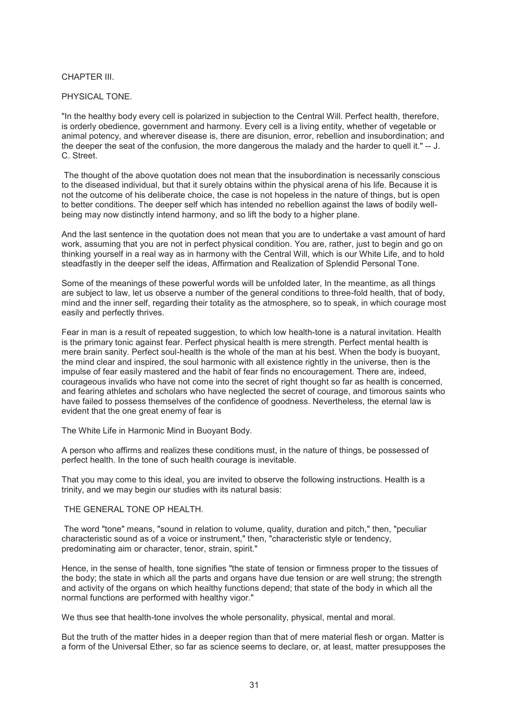# CHAPTER III.

## PHYSICAL TONE.

"In the healthy body every cell is polarized in subjection to the Central Will. Perfect health, therefore, is orderly obedience, government and harmony. Every cell is a living entity, whether of vegetable or animal potency, and wherever disease is, there are disunion, error, rebellion and insubordination; and the deeper the seat of the confusion, the more dangerous the malady and the harder to quell it." -- J. C. Street.

 The thought of the above quotation does not mean that the insubordination is necessarily conscious to the diseased individual, but that it surely obtains within the physical arena of his life. Because it is not the outcome of his deliberate choice, the case is not hopeless in the nature of things, but is open to better conditions. The deeper self which has intended no rebellion against the laws of bodily wellbeing may now distinctly intend harmony, and so lift the body to a higher plane.

And the last sentence in the quotation does not mean that you are to undertake a vast amount of hard work, assuming that you are not in perfect physical condition. You are, rather, just to begin and go on thinking yourself in a real way as in harmony with the Central Will, which is our White Life, and to hold steadfastly in the deeper self the ideas, Affirmation and Realization of Splendid Personal Tone.

Some of the meanings of these powerful words will be unfolded later, In the meantime, as all things are subject to law, let us observe a number of the general conditions to three-fold health, that of body, mind and the inner self, regarding their totality as the atmosphere, so to speak, in which courage most easily and perfectly thrives.

Fear in man is a result of repeated suggestion, to which low health-tone is a natural invitation. Health is the primary tonic against fear. Perfect physical health is mere strength. Perfect mental health is mere brain sanity. Perfect soul-health is the whole of the man at his best. When the body is buoyant, the mind clear and inspired, the soul harmonic with all existence rightly in the universe, then is the impulse of fear easily mastered and the habit of fear finds no encouragement. There are, indeed, courageous invalids who have not come into the secret of right thought so far as health is concerned, and fearing athletes and scholars who have neglected the secret of courage, and timorous saints who have failed to possess themselves of the confidence of goodness. Nevertheless, the eternal law is evident that the one great enemy of fear is

The White Life in Harmonic Mind in Buoyant Body.

A person who affirms and realizes these conditions must, in the nature of things, be possessed of perfect health. In the tone of such health courage is inevitable.

That you may come to this ideal, you are invited to observe the following instructions. Health is a trinity, and we may begin our studies with its natural basis:

## THE GENERAL TONE OP HEALTH.

 The word "tone" means, "sound in relation to volume, quality, duration and pitch," then, "peculiar characteristic sound as of a voice or instrument," then, "characteristic style or tendency, predominating aim or character, tenor, strain, spirit."

Hence, in the sense of health, tone signifies "the state of tension or firmness proper to the tissues of the body; the state in which all the parts and organs have due tension or are well strung; the strength and activity of the organs on which healthy functions depend; that state of the body in which all the normal functions are performed with healthy vigor."

We thus see that health-tone involves the whole personality, physical, mental and moral.

But the truth of the matter hides in a deeper region than that of mere material flesh or organ. Matter is a form of the Universal Ether, so far as science seems to declare, or, at least, matter presupposes the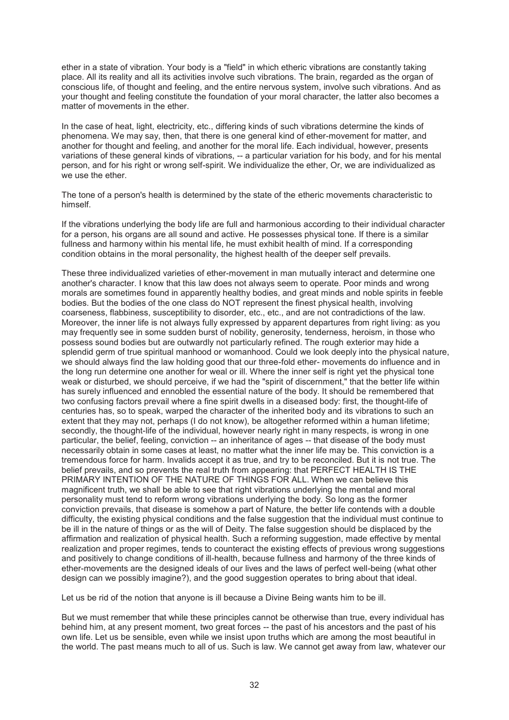ether in a state of vibration. Your body is a "field" in which etheric vibrations are constantly taking place. All its reality and all its activities involve such vibrations. The brain, regarded as the organ of conscious life, of thought and feeling, and the entire nervous system, involve such vibrations. And as your thought and feeling constitute the foundation of your moral character, the latter also becomes a matter of movements in the ether.

In the case of heat, light, electricity, etc., differing kinds of such vibrations determine the kinds of phenomena. We may say, then, that there is one general kind of ether-movement for matter, and another for thought and feeling, and another for the moral life. Each individual, however, presents variations of these general kinds of vibrations, -- a particular variation for his body, and for his mental person, and for his right or wrong self-spirit. We individualize the ether, Or, we are individualized as we use the ether.

The tone of a person's health is determined by the state of the etheric movements characteristic to himself.

If the vibrations underlying the body life are full and harmonious according to their individual character for a person, his organs are all sound and active. He possesses physical tone. If there is a similar fullness and harmony within his mental life, he must exhibit health of mind. If a corresponding condition obtains in the moral personality, the highest health of the deeper self prevails.

These three individualized varieties of ether-movement in man mutually interact and determine one another's character. I know that this law does not always seem to operate. Poor minds and wrong morals are sometimes found in apparently healthy bodies, and great minds and noble spirits in feeble bodies. But the bodies of the one class do NOT represent the finest physical health, involving coarseness, flabbiness, susceptibility to disorder, etc., etc., and are not contradictions of the law. Moreover, the inner life is not always fully expressed by apparent departures from right living: as you may frequently see in some sudden burst of nobility, generosity, tenderness, heroism, in those who possess sound bodies but are outwardly not particularly refined. The rough exterior may hide a splendid germ of true spiritual manhood or womanhood. Could we look deeply into the physical nature, we should always find the law holding good that our three-fold ether- movements do influence and in the long run determine one another for weal or ill. Where the inner self is right yet the physical tone weak or disturbed, we should perceive, if we had the "spirit of discernment," that the better life within has surely influenced and ennobled the essential nature of the body. It should be remembered that two confusing factors prevail where a fine spirit dwells in a diseased body: first, the thought-life of centuries has, so to speak, warped the character of the inherited body and its vibrations to such an extent that they may not, perhaps (I do not know), be altogether reformed within a human lifetime; secondly, the thought-life of the individual, however nearly right in many respects, is wrong in one particular, the belief, feeling, conviction -- an inheritance of ages -- that disease of the body must necessarily obtain in some cases at least, no matter what the inner life may be. This conviction is a tremendous force for harm. Invalids accept it as true, and try to be reconciled. But it is not true. The belief prevails, and so prevents the real truth from appearing: that PERFECT HEALTH IS THE PRIMARY INTENTION OF THE NATURE OF THINGS FOR ALL. When we can believe this magnificent truth, we shall be able to see that right vibrations underlying the mental and moral personality must tend to reform wrong vibrations underlying the body. So long as the former conviction prevails, that disease is somehow a part of Nature, the better life contends with a double difficulty, the existing physical conditions and the false suggestion that the individual must continue to be ill in the nature of things or as the will of Deity. The false suggestion should be displaced by the affirmation and realization of physical health. Such a reforming suggestion, made effective by mental realization and proper regimes, tends to counteract the existing effects of previous wrong suggestions and positively to change conditions of ill-health, because fullness and harmony of the three kinds of ether-movements are the designed ideals of our lives and the laws of perfect well-being (what other design can we possibly imagine?), and the good suggestion operates to bring about that ideal.

Let us be rid of the notion that anyone is ill because a Divine Being wants him to be ill.

But we must remember that while these principles cannot be otherwise than true, every individual has behind him, at any present moment, two great forces -- the past of his ancestors and the past of his own life. Let us be sensible, even while we insist upon truths which are among the most beautiful in the world. The past means much to all of us. Such is law. We cannot get away from law, whatever our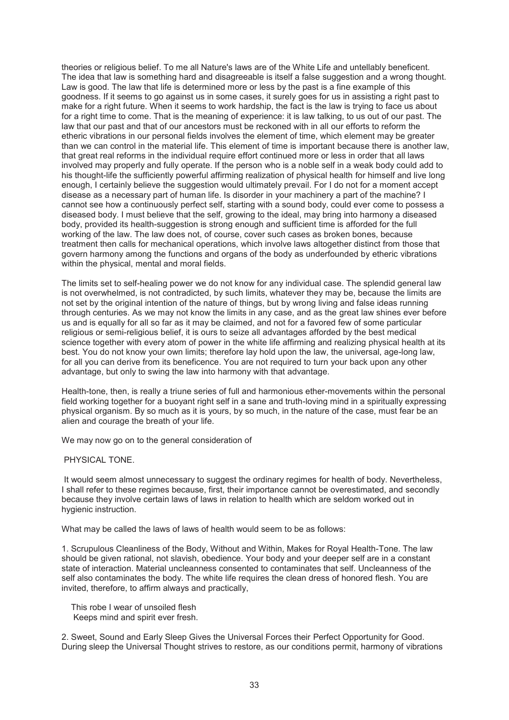theories or religious belief. To me all Nature's laws are of the White Life and untellably beneficent. The idea that law is something hard and disagreeable is itself a false suggestion and a wrong thought. Law is good. The law that life is determined more or less by the past is a fine example of this goodness. If it seems to go against us in some cases, it surely goes for us in assisting a right past to make for a right future. When it seems to work hardship, the fact is the law is trying to face us about for a right time to come. That is the meaning of experience: it is law talking, to us out of our past. The law that our past and that of our ancestors must be reckoned with in all our efforts to reform the etheric vibrations in our personal fields involves the element of time, which element may be greater than we can control in the material life. This element of time is important because there is another law, that great real reforms in the individual require effort continued more or less in order that all laws involved may properly and fully operate. If the person who is a noble self in a weak body could add to his thought-life the sufficiently powerful affirming realization of physical health for himself and live long enough, I certainly believe the suggestion would ultimately prevail. For I do not for a moment accept disease as a necessary part of human life. Is disorder in your machinery a part of the machine? I cannot see how a continuously perfect self, starting with a sound body, could ever come to possess a diseased body. I must believe that the self, growing to the ideal, may bring into harmony a diseased body, provided its health-suggestion is strong enough and sufficient time is afforded for the full working of the law. The law does not, of course, cover such cases as broken bones, because treatment then calls for mechanical operations, which involve laws altogether distinct from those that govern harmony among the functions and organs of the body as underfounded by etheric vibrations within the physical, mental and moral fields.

The limits set to self-healing power we do not know for any individual case. The splendid general law is not overwhelmed, is not contradicted, by such limits, whatever they may be, because the limits are not set by the original intention of the nature of things, but by wrong living and false ideas running through centuries. As we may not know the limits in any case, and as the great law shines ever before us and is equally for all so far as it may be claimed, and not for a favored few of some particular religious or semi-religious belief, it is ours to seize all advantages afforded by the best medical science together with every atom of power in the white life affirming and realizing physical health at its best. You do not know your own limits; therefore lay hold upon the law, the universal, age-long law, for all you can derive from its beneficence. You are not required to turn your back upon any other advantage, but only to swing the law into harmony with that advantage.

Health-tone, then, is really a triune series of full and harmonious ether-movements within the personal field working together for a buoyant right self in a sane and truth-loving mind in a spiritually expressing physical organism. By so much as it is yours, by so much, in the nature of the case, must fear be an alien and courage the breath of your life.

We may now go on to the general consideration of

# PHYSICAL TONE.

 It would seem almost unnecessary to suggest the ordinary regimes for health of body. Nevertheless, I shall refer to these regimes because, first, their importance cannot be overestimated, and secondly because they involve certain laws of laws in relation to health which are seldom worked out in hygienic instruction.

What may be called the laws of laws of health would seem to be as follows:

1. Scrupulous Cleanliness of the Body, Without and Within, Makes for Royal Health-Tone. The law should be given rational, not slavish, obedience. Your body and your deeper self are in a constant state of interaction. Material uncleanness consented to contaminates that self. Uncleanness of the self also contaminates the body. The white life requires the clean dress of honored flesh. You are invited, therefore, to affirm always and practically,

 This robe I wear of unsoiled flesh Keeps mind and spirit ever fresh.

2. Sweet, Sound and Early Sleep Gives the Universal Forces their Perfect Opportunity for Good. During sleep the Universal Thought strives to restore, as our conditions permit, harmony of vibrations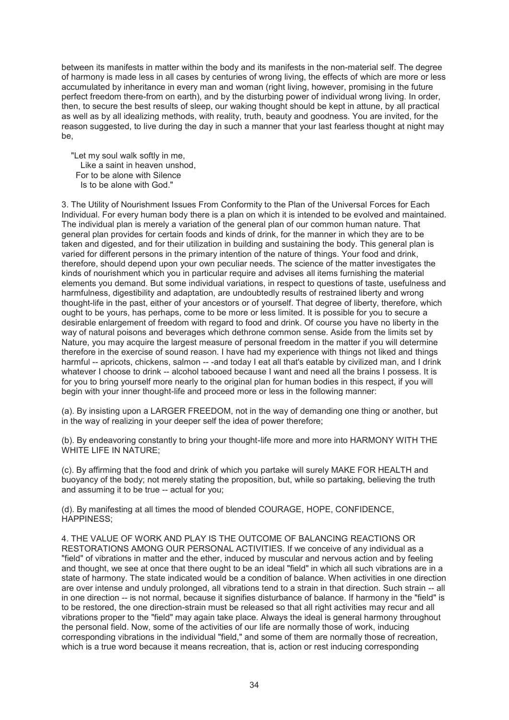between its manifests in matter within the body and its manifests in the non-material self. The degree of harmony is made less in all cases by centuries of wrong living, the effects of which are more or less accumulated by inheritance in every man and woman (right living, however, promising in the future perfect freedom there-from on earth), and by the disturbing power of individual wrong living. In order, then, to secure the best results of sleep, our waking thought should be kept in attune, by all practical as well as by all idealizing methods, with reality, truth, beauty and goodness. You are invited, for the reason suggested, to live during the day in such a manner that your last fearless thought at night may be,

 "Let my soul walk softly in me, Like a saint in heaven unshod, For to be alone with Silence Is to be alone with God."

3. The Utility of Nourishment Issues From Conformity to the Plan of the Universal Forces for Each Individual. For every human body there is a plan on which it is intended to be evolved and maintained. The individual plan is merely a variation of the general plan of our common human nature. That general plan provides for certain foods and kinds of drink, for the manner in which they are to be taken and digested, and for their utilization in building and sustaining the body. This general plan is varied for different persons in the primary intention of the nature of things. Your food and drink, therefore, should depend upon your own peculiar needs. The science of the matter investigates the kinds of nourishment which you in particular require and advises all items furnishing the material elements you demand. But some individual variations, in respect to questions of taste, usefulness and harmfulness, digestibility and adaptation, are undoubtedly results of restrained liberty and wrong thought-life in the past, either of your ancestors or of yourself. That degree of liberty, therefore, which ought to be yours, has perhaps, come to be more or less limited. It is possible for you to secure a desirable enlargement of freedom with regard to food and drink. Of course you have no liberty in the way of natural poisons and beverages which dethrone common sense. Aside from the limits set by Nature, you may acquire the largest measure of personal freedom in the matter if you will determine therefore in the exercise of sound reason. I have had my experience with things not liked and things harmful -- apricots, chickens, salmon -- -and today I eat all that's eatable by civilized man, and I drink whatever I choose to drink -- alcohol tabooed because I want and need all the brains I possess. It is for you to bring yourself more nearly to the original plan for human bodies in this respect, if you will begin with your inner thought-life and proceed more or less in the following manner:

(a). By insisting upon a LARGER FREEDOM, not in the way of demanding one thing or another, but in the way of realizing in your deeper self the idea of power therefore;

(b). By endeavoring constantly to bring your thought-life more and more into HARMONY WITH THE WHITE LIFE IN NATURE;

(c). By affirming that the food and drink of which you partake will surely MAKE FOR HEALTH and buoyancy of the body; not merely stating the proposition, but, while so partaking, believing the truth and assuming it to be true -- actual for you;

(d). By manifesting at all times the mood of blended COURAGE, HOPE, CONFIDENCE, HAPPINESS;

4. THE VALUE OF WORK AND PLAY IS THE OUTCOME OF BALANCING REACTIONS OR RESTORATIONS AMONG OUR PERSONAL ACTIVITIES. If we conceive of any individual as a "field" of vibrations in matter and the ether, induced by muscular and nervous action and by feeling and thought, we see at once that there ought to be an ideal "field" in which all such vibrations are in a state of harmony. The state indicated would be a condition of balance. When activities in one direction are over intense and unduly prolonged, all vibrations tend to a strain in that direction. Such strain -- all in one direction -- is not normal, because it signifies disturbance of balance. If harmony in the "field" is to be restored, the one direction-strain must be released so that all right activities may recur and all vibrations proper to the "field" may again take place. Always the ideal is general harmony throughout the personal field. Now, some of the activities of our life are normally those of work, inducing corresponding vibrations in the individual "field," and some of them are normally those of recreation, which is a true word because it means recreation, that is, action or rest inducing corresponding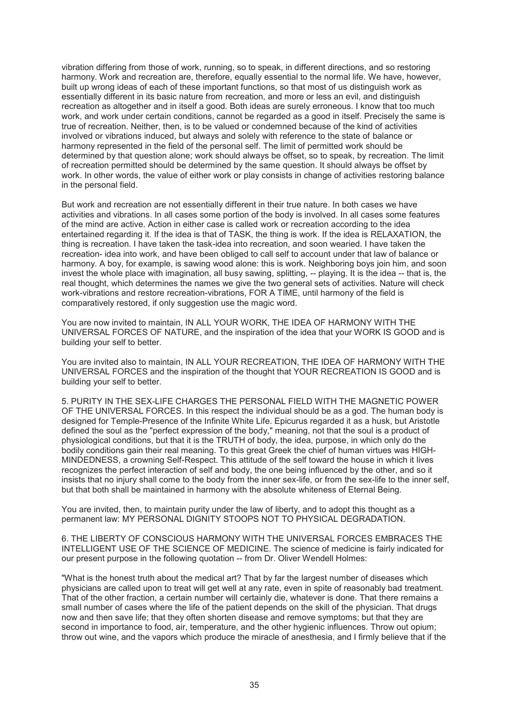vibration differing from those of work, running, so to speak, in different directions, and so restoring harmony. Work and recreation are, therefore, equally essential to the normal life. We have, however, built up wrong ideas of each of these important functions, so that most of us distinguish work as essentially different in its basic nature from recreation, and more or less an evil, and distinguish recreation as altogether and in itself a good. Both ideas are surely erroneous. I know that too much work, and work under certain conditions, cannot be regarded as a good in itself. Precisely the same is true of recreation. Neither, then, is to be valued or condemned because of the kind of activities involved or vibrations induced, but always and solely with reference to the state of balance or harmony represented in the field of the personal self. The limit of permitted work should be determined by that question alone; work should always be offset, so to speak, by recreation. The limit of recreation permitted should be determined by the same question. It should always be offset by work. In other words, the value of either work or play consists in change of activities restoring balance in the personal field.

But work and recreation are not essentially different in their true nature. In both cases we have activities and vibrations. In all cases some portion of the body is involved. In all cases some features of the mind are active. Action in either case is called work or recreation according to the idea entertained regarding it. If the idea is that of TASK, the thing is work. If the idea is RELAXATION, the thing is recreation. I have taken the task-idea into recreation, and soon wearied. I have taken the recreation- idea into work, and have been obliged to call self to account under that law of balance or harmony. A boy, for example, is sawing wood alone: this is work. Neighboring boys join him, and soon invest the whole place with imagination, all busy sawing, splitting, -- playing. It is the idea -- that is, the real thought, which determines the names we give the two general sets of activities. Nature will check work-vibrations and restore recreation-vibrations, FOR A TIME, until harmony of the field is comparatively restored, if only suggestion use the magic word.

You are now invited to maintain, IN ALL YOUR WORK, THE IDEA OF HARMONY WITH THE UNIVERSAL FORCES OF NATURE, and the inspiration of the idea that your WORK IS GOOD and is building your self to better.

You are invited also to maintain, IN ALL YOUR RECREATION, THE IDEA OF HARMONY WITH THE UNIVERSAL FORCES and the inspiration of the thought that YOUR RECREATION IS GOOD and is building your self to better.

5. PURITY IN THE SEX-LIFE CHARGES THE PERSONAL FIELD WITH THE MAGNETIC POWER OF THE UNIVERSAL FORCES. In this respect the individual should be as a god. The human body is designed for Temple-Presence of the Infinite White Life. Epicurus regarded it as a husk, but Aristotle defined the soul as the "perfect expression of the body," meaning, not that the soul is a product of physiological conditions, but that it is the TRUTH of body, the idea, purpose, in which only do the bodily conditions gain their real meaning. To this great Greek the chief of human virtues was HIGH-MINDEDNESS, a crowning Self-Respect. This attitude of the self toward the house in which it lives recognizes the perfect interaction of self and body, the one being influenced by the other, and so it insists that no injury shall come to the body from the inner sex-life, or from the sex-life to the inner self, but that both shall be maintained in harmony with the absolute whiteness of Eternal Being.

You are invited, then, to maintain purity under the law of liberty, and to adopt this thought as a permanent law: MY PERSONAL DIGNITY STOOPS NOT TO PHYSICAL DEGRADATION.

6. THE LIBERTY OF CONSCIOUS HARMONY WITH THE UNIVERSAL FORCES EMBRACES THE INTELLIGENT USE OF THE SCIENCE OF MEDICINE. The science of medicine is fairly indicated for our present purpose in the following quotation -- from Dr. Oliver Wendell Holmes:

"What is the honest truth about the medical art? That by far the largest number of diseases which physicians are called upon to treat will get well at any rate, even in spite of reasonably bad treatment. That of the other fraction, a certain number will certainly die, whatever is done. That there remains a small number of cases where the life of the patient depends on the skill of the physician. That drugs now and then save life; that they often shorten disease and remove symptoms; but that they are second in importance to food, air, temperature, and the other hygienic influences. Throw out opium; throw out wine, and the vapors which produce the miracle of anesthesia, and I firmly believe that if the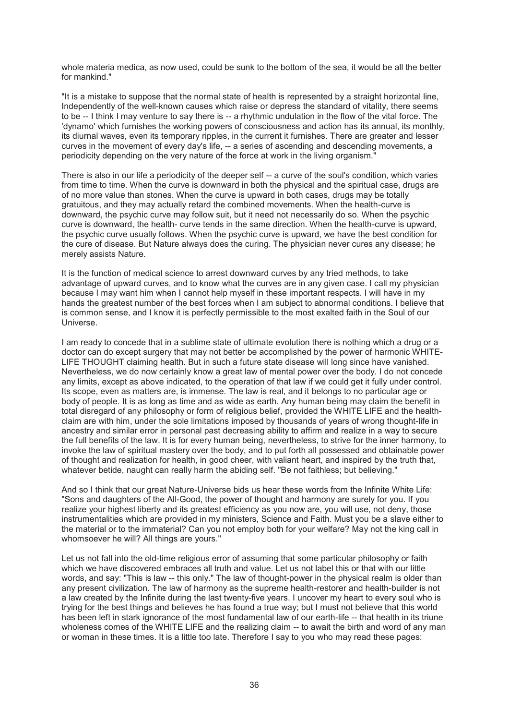whole materia medica, as now used, could be sunk to the bottom of the sea, it would be all the better for mankind."

"It is a mistake to suppose that the normal state of health is represented by a straight horizontal line, Independently of the well-known causes which raise or depress the standard of vitality, there seems to be -- I think I may venture to say there is -- a rhythmic undulation in the flow of the vital force. The 'dynamo' which furnishes the working powers of consciousness and action has its annual, its monthly, its diurnal waves, even its temporary ripples, in the current it furnishes. There are greater and lesser curves in the movement of every day's life, -- a series of ascending and descending movements, a periodicity depending on the very nature of the force at work in the living organism."

There is also in our life a periodicity of the deeper self -- a curve of the soul's condition, which varies from time to time. When the curve is downward in both the physical and the spiritual case, drugs are of no more value than stones. When the curve is upward in both cases, drugs may be totally gratuitous, and they may actually retard the combined movements. When the health-curve is downward, the psychic curve may follow suit, but it need not necessarily do so. When the psychic curve is downward, the health- curve tends in the same direction. When the health-curve is upward, the psychic curve usually follows. When the psychic curve is upward, we have the best condition for the cure of disease. But Nature always does the curing. The physician never cures any disease; he merely assists Nature.

It is the function of medical science to arrest downward curves by any tried methods, to take advantage of upward curves, and to know what the curves are in any given case. I call my physician because I may want him when I cannot help myself in these important respects. I will have in my hands the greatest number of the best forces when I am subject to abnormal conditions. I believe that is common sense, and I know it is perfectly permissible to the most exalted faith in the Soul of our Universe.

I am ready to concede that in a sublime state of ultimate evolution there is nothing which a drug or a doctor can do except surgery that may not better be accomplished by the power of harmonic WHITE-LIFE THOUGHT claiming health. But in such a future state disease will long since have vanished. Nevertheless, we do now certainly know a great law of mental power over the body. I do not concede any limits, except as above indicated, to the operation of that law if we could get it fully under control. Its scope, even as matters are, is immense. The law is real, and it belongs to no particular age or body of people. It is as long as time and as wide as earth. Any human being may claim the benefit in total disregard of any philosophy or form of religious belief, provided the WHITE LIFE and the healthclaim are with him, under the sole limitations imposed by thousands of years of wrong thought-life in ancestry and similar error in personal past decreasing ability to affirm and realize in a way to secure the full benefits of the law. It is for every human being, nevertheless, to strive for the inner harmony, to invoke the law of spiritual mastery over the body, and to put forth all possessed and obtainable power of thought and realization for health, in good cheer, with valiant heart, and inspired by the truth that, whatever betide, naught can really harm the abiding self. "Be not faithless; but believing."

And so I think that our great Nature-Universe bids us hear these words from the Infinite White Life: "Sons and daughters of the All-Good, the power of thought and harmony are surely for you. If you realize your highest liberty and its greatest efficiency as you now are, you will use, not deny, those instrumentalities which are provided in my ministers, Science and Faith. Must you be a slave either to the material or to the immaterial? Can you not employ both for your welfare? May not the king call in whomsoever he will? All things are yours."

Let us not fall into the old-time religious error of assuming that some particular philosophy or faith which we have discovered embraces all truth and value. Let us not label this or that with our little words, and say: "This is law -- this only." The law of thought-power in the physical realm is older than any present civilization. The law of harmony as the supreme health-restorer and health-builder is not a law created by the Infinite during the last twenty-five years. I uncover my heart to every soul who is trying for the best things and believes he has found a true way; but I must not believe that this world has been left in stark ignorance of the most fundamental law of our earth-life -- that health in its triune wholeness comes of the WHITE LIFE and the realizing claim -- to await the birth and word of any man or woman in these times. It is a little too late. Therefore I say to you who may read these pages: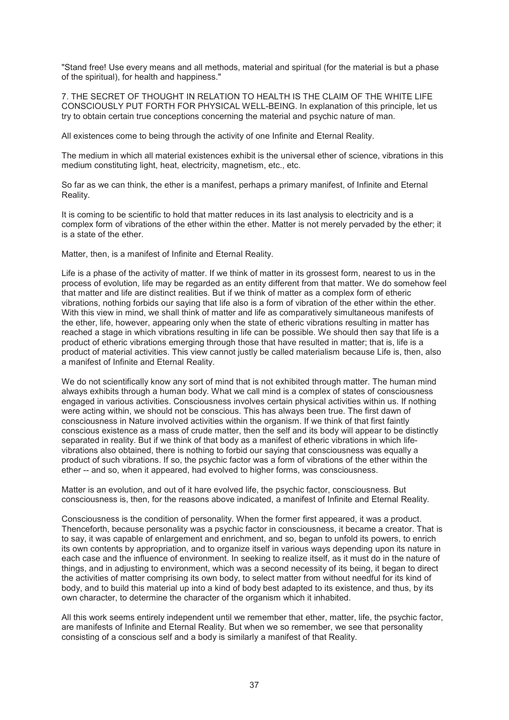"Stand free! Use every means and all methods, material and spiritual (for the material is but a phase of the spiritual), for health and happiness."

7. THE SECRET OF THOUGHT IN RELATION TO HEALTH IS THE CLAIM OF THE WHITE LIFE CONSCIOUSLY PUT FORTH FOR PHYSICAL WELL-BEING. In explanation of this principle, let us try to obtain certain true conceptions concerning the material and psychic nature of man.

All existences come to being through the activity of one Infinite and Eternal Reality.

The medium in which all material existences exhibit is the universal ether of science, vibrations in this medium constituting light, heat, electricity, magnetism, etc., etc.

So far as we can think, the ether is a manifest, perhaps a primary manifest, of Infinite and Eternal Reality.

It is coming to be scientific to hold that matter reduces in its last analysis to electricity and is a complex form of vibrations of the ether within the ether. Matter is not merely pervaded by the ether; it is a state of the ether.

Matter, then, is a manifest of Infinite and Eternal Reality.

Life is a phase of the activity of matter. If we think of matter in its grossest form, nearest to us in the process of evolution, life may be regarded as an entity different from that matter. We do somehow feel that matter and life are distinct realities. But if we think of matter as a complex form of etheric vibrations, nothing forbids our saying that life also is a form of vibration of the ether within the ether. With this view in mind, we shall think of matter and life as comparatively simultaneous manifests of the ether, life, however, appearing only when the state of etheric vibrations resulting in matter has reached a stage in which vibrations resulting in life can be possible. We should then say that life is a product of etheric vibrations emerging through those that have resulted in matter; that is, life is a product of material activities. This view cannot justly be called materialism because Life is, then, also a manifest of Infinite and Eternal Reality.

We do not scientifically know any sort of mind that is not exhibited through matter. The human mind always exhibits through a human body. What we call mind is a complex of states of consciousness engaged in various activities. Consciousness involves certain physical activities within us. If nothing were acting within, we should not be conscious. This has always been true. The first dawn of consciousness in Nature involved activities within the organism. If we think of that first faintly conscious existence as a mass of crude matter, then the self and its body will appear to be distinctly separated in reality. But if we think of that body as a manifest of etheric vibrations in which lifevibrations also obtained, there is nothing to forbid our saying that consciousness was equally a product of such vibrations. If so, the psychic factor was a form of vibrations of the ether within the ether -- and so, when it appeared, had evolved to higher forms, was consciousness.

Matter is an evolution, and out of it hare evolved life, the psychic factor, consciousness. But consciousness is, then, for the reasons above indicated, a manifest of Infinite and Eternal Reality.

Consciousness is the condition of personality. When the former first appeared, it was a product. Thenceforth, because personality was a psychic factor in consciousness, it became a creator. That is to say, it was capable of enlargement and enrichment, and so, began to unfold its powers, to enrich its own contents by appropriation, and to organize itself in various ways depending upon its nature in each case and the influence of environment. In seeking to realize itself, as it must do in the nature of things, and in adjusting to environment, which was a second necessity of its being, it began to direct the activities of matter comprising its own body, to select matter from without needful for its kind of body, and to build this material up into a kind of body best adapted to its existence, and thus, by its own character, to determine the character of the organism which it inhabited.

All this work seems entirely independent until we remember that ether, matter, life, the psychic factor, are manifests of Infinite and Eternal Reality. But when we so remember, we see that personality consisting of a conscious self and a body is similarly a manifest of that Reality.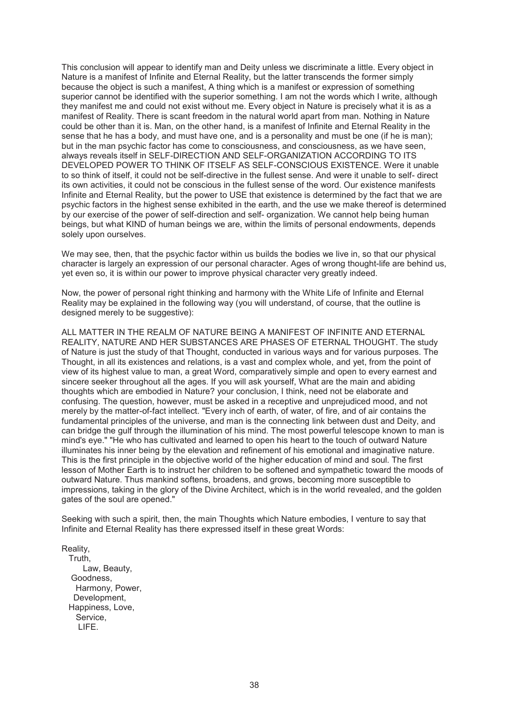This conclusion will appear to identify man and Deity unless we discriminate a little. Every object in Nature is a manifest of Infinite and Eternal Reality, but the latter transcends the former simply because the object is such a manifest, A thing which is a manifest or expression of something superior cannot be identified with the superior something. I am not the words which I write, although they manifest me and could not exist without me. Every object in Nature is precisely what it is as a manifest of Reality. There is scant freedom in the natural world apart from man. Nothing in Nature could be other than it is. Man, on the other hand, is a manifest of Infinite and Eternal Reality in the sense that he has a body, and must have one, and is a personality and must be one (if he is man); but in the man psychic factor has come to consciousness, and consciousness, as we have seen, always reveals itself in SELF-DIRECTION AND SELF-ORGANIZATION ACCORDING TO ITS DEVELOPED POWER TO THINK OF ITSELF AS SELF-CONSCIOUS EXISTENCE. Were it unable to so think of itself, it could not be self-directive in the fullest sense. And were it unable to self- direct its own activities, it could not be conscious in the fullest sense of the word. Our existence manifests Infinite and Eternal Reality, but the power to USE that existence is determined by the fact that we are psychic factors in the highest sense exhibited in the earth, and the use we make thereof is determined by our exercise of the power of self-direction and self- organization. We cannot help being human beings, but what KIND of human beings we are, within the limits of personal endowments, depends solely upon ourselves.

We may see, then, that the psychic factor within us builds the bodies we live in, so that our physical character is largely an expression of our personal character. Ages of wrong thought-life are behind us, yet even so, it is within our power to improve physical character very greatly indeed.

Now, the power of personal right thinking and harmony with the White Life of Infinite and Eternal Reality may be explained in the following way (you will understand, of course, that the outline is designed merely to be suggestive):

ALL MATTER IN THE REALM OF NATURE BEING A MANIFEST OF INFINITE AND ETERNAL REALITY, NATURE AND HER SUBSTANCES ARE PHASES OF ETERNAL THOUGHT. The study of Nature is just the study of that Thought, conducted in various ways and for various purposes. The Thought, in all its existences and relations, is a vast and complex whole, and yet, from the point of view of its highest value to man, a great Word, comparatively simple and open to every earnest and sincere seeker throughout all the ages. If you will ask yourself, What are the main and abiding thoughts which are embodied in Nature? your conclusion, I think, need not be elaborate and confusing. The question, however, must be asked in a receptive and unprejudiced mood, and not merely by the matter-of-fact intellect. "Every inch of earth, of water, of fire, and of air contains the fundamental principles of the universe, and man is the connecting link between dust and Deity, and can bridge the gulf through the illumination of his mind. The most powerful telescope known to man is mind's eye." "He who has cultivated and learned to open his heart to the touch of outward Nature illuminates his inner being by the elevation and refinement of his emotional and imaginative nature. This is the first principle in the objective world of the higher education of mind and soul. The first lesson of Mother Earth is to instruct her children to be softened and sympathetic toward the moods of outward Nature. Thus mankind softens, broadens, and grows, becoming more susceptible to impressions, taking in the glory of the Divine Architect, which is in the world revealed, and the golden gates of the soul are opened."

Seeking with such a spirit, then, the main Thoughts which Nature embodies, I venture to say that Infinite and Eternal Reality has there expressed itself in these great Words:

Reality, Truth, Law, Beauty, Goodness, Harmony, Power, Development, Happiness, Love, Service, LIFE.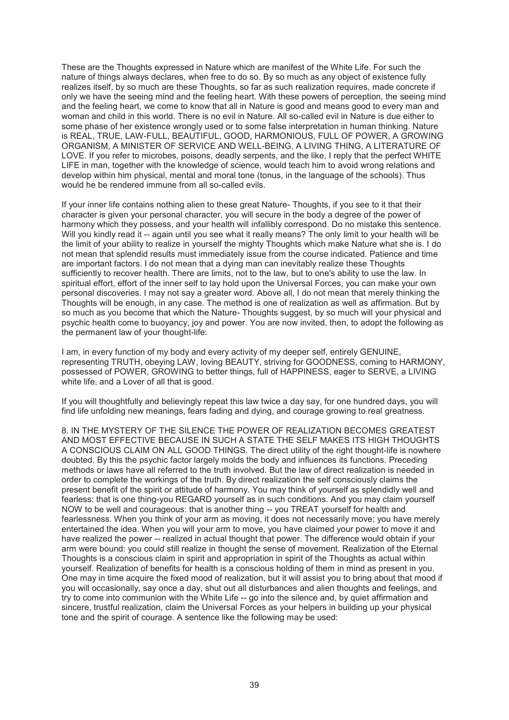These are the Thoughts expressed in Nature which are manifest of the White Life. For such the nature of things always declares, when free to do so. By so much as any object of existence fully realizes itself, by so much are these Thoughts, so far as such realization requires, made concrete if only we have the seeing mind and the feeling heart. With these powers of perception, the seeing mind and the feeling heart, we come to know that all in Nature is good and means good to every man and woman and child in this world. There is no evil in Nature. All so-called evil in Nature is due either to some phase of her existence wrongly used or to some false interpretation in human thinking. Nature is REAL, TRUE, LAW-FULL, BEAUTIFUL, GOOD, HARMONIOUS, FULL OF POWER, A GROWING ORGANISM, A MINISTER OF SERVICE AND WELL-BEING, A LIVING THING, A LITERATURE OF LOVE. If you refer to microbes, poisons, deadly serpents, and the like, I reply that the perfect WHITE LIFE in man, together with the knowledge of science, would teach him to avoid wrong relations and develop within him physical, mental and moral tone (tonus, in the language of the schools). Thus would he be rendered immune from all so-called evils.

If your inner life contains nothing alien to these great Nature- Thoughts, if you see to it that their character is given your personal character, you will secure in the body a degree of the power of harmony which they possess, and your health will infallibly correspond. Do no mistake this sentence. Will you kindly read it -- again until you see what it really means? The only limit to your health will be the limit of your ability to realize in yourself the mighty Thoughts which make Nature what she is. I do not mean that splendid results must immediately issue from the course indicated. Patience and time are important factors. I do not mean that a dying man can inevitably realize these Thoughts sufficiently to recover health. There are limits, not to the law, but to one's ability to use the law. In spiritual effort, effort of the inner self to lay hold upon the Universal Forces, you can make your own personal discoveries. I may not say a greater word. Above all, I do not mean that merely thinking the Thoughts will be enough, in any case. The method is one of realization as well as affirmation. But by so much as you become that which the Nature- Thoughts suggest, by so much will your physical and psychic health come to buoyancy, joy and power. You are now invited, then, to adopt the following as the permanent law of your thought-life:

I am, in every function of my body and every activity of my deeper self, entirely GENUINE, representing TRUTH, obeying LAW, loving BEAUTY, striving for GOODNESS, coming to HARMONY, possessed of POWER, GROWING to better things, full of HAPPINESS, eager to SERVE, a LIVING white life, and a Lover of all that is good.

If you will thoughtfully and believingly repeat this law twice a day say, for one hundred days, you will find life unfolding new meanings, fears fading and dying, and courage growing to real greatness.

8. IN THE MYSTERY OF THE SILENCE THE POWER OF REALIZATION BECOMES GREATEST AND MOST EFFECTIVE BECAUSE IN SUCH A STATE THE SELF MAKES ITS HIGH THOUGHTS A CONSCIOUS CLAIM ON ALL GOOD THINGS. The direct utility of the right thought-life is nowhere doubted. By this the psychic factor largely molds the body and influences its functions. Preceding methods or laws have all referred to the truth involved. But the law of direct realization is needed in order to complete the workings of the truth. By direct realization the self consciously claims the present benefit of the spirit or attitude of harmony. You may think of yourself as splendidly well and fearless: that is one thing-you REGARD yourself as in such conditions. And you may claim yourself NOW to be well and courageous: that is another thing -- you TREAT yourself for health and fearlessness. When you think of your arm as moving, it does not necessarily move; you have merely entertained the idea. When you will your arm to move, you have claimed your power to move it and have realized the power -- realized in actual thought that power. The difference would obtain if your arm were bound: you could still realize in thought the sense of movement. Realization of the Eternal Thoughts is a conscious claim in spirit and appropriation in spirit of the Thoughts as actual within yourself. Realization of benefits for health is a conscious holding of them in mind as present in you. One may in time acquire the fixed mood of realization, but it will assist you to bring about that mood if you will occasionally, say once a day, shut out all disturbances and alien thoughts and feelings, and try to come into communion with the White Life -- go into the silence and, by quiet affirmation and sincere, trustful realization, claim the Universal Forces as your helpers in building up your physical tone and the spirit of courage. A sentence like the following may be used: